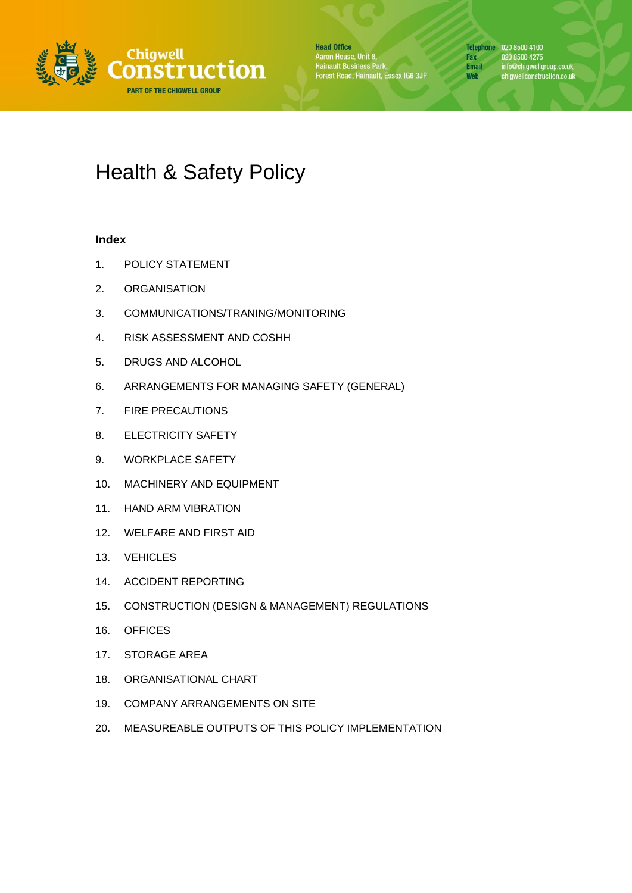

**Head Office** Aaron House, Unit 8,<br>Hainault Business Park,<br>Forest Road, Hainault, Essex IG6 3JP

Telephone 020 8500 4100 Fax<br>
Final info@chigwellgroup.co.uk<br>
Web chigwellconstruction.co.uk<br>
Web chigwellconstruction.co.uk

# Health & Safety Policy

# **Index**

- 1. POLICY STATEMENT
- 2. ORGANISATION
- 3. COMMUNICATIONS/TRANING/MONITORING
- 4. RISK ASSESSMENT AND COSHH
- 5. DRUGS AND ALCOHOL
- 6. ARRANGEMENTS FOR MANAGING SAFETY (GENERAL)
- 7. FIRE PRECAUTIONS
- 8. ELECTRICITY SAFETY
- 9. WORKPLACE SAFETY
- 10. MACHINERY AND EQUIPMENT
- 11. HAND ARM VIBRATION
- 12. WELFARE AND FIRST AID
- 13. VEHICLES
- 14. ACCIDENT REPORTING
- 15. CONSTRUCTION (DESIGN & MANAGEMENT) REGULATIONS
- 16. OFFICES
- 17. STORAGE AREA
- 18. ORGANISATIONAL CHART
- 19. COMPANY ARRANGEMENTS ON SITE
- 20. MEASUREABLE OUTPUTS OF THIS POLICY IMPLEMENTATION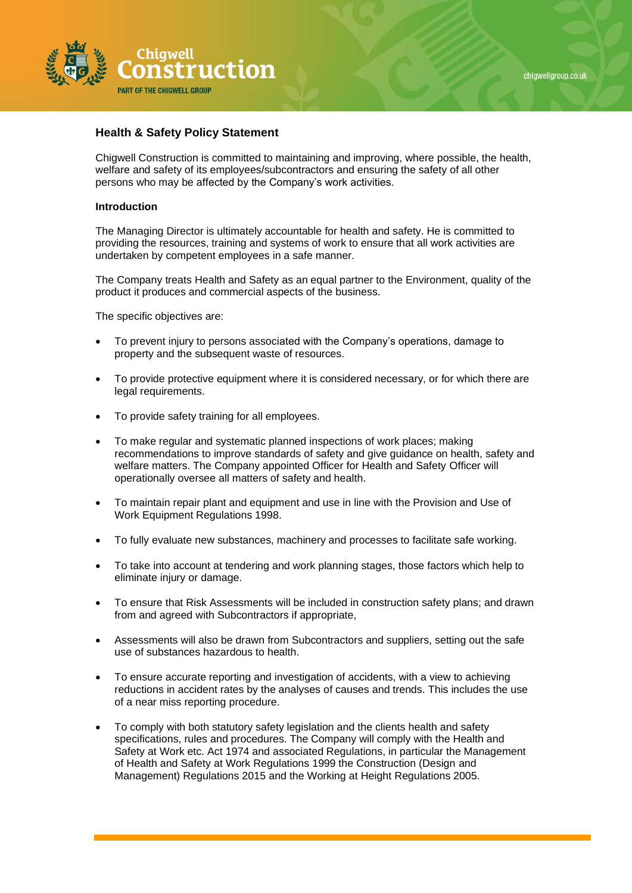



# **Health & Safety Policy Statement**

Chigwell Construction is committed to maintaining and improving, where possible, the health, welfare and safety of its employees/subcontractors and ensuring the safety of all other persons who may be affected by the Company's work activities.

## **Introduction**

The Managing Director is ultimately accountable for health and safety. He is committed to providing the resources, training and systems of work to ensure that all work activities are undertaken by competent employees in a safe manner.

The Company treats Health and Safety as an equal partner to the Environment, quality of the product it produces and commercial aspects of the business.

The specific objectives are:

- To prevent injury to persons associated with the Company's operations, damage to property and the subsequent waste of resources.
- To provide protective equipment where it is considered necessary, or for which there are legal requirements.
- To provide safety training for all employees.
- To make regular and systematic planned inspections of work places; making recommendations to improve standards of safety and give guidance on health, safety and welfare matters. The Company appointed Officer for Health and Safety Officer will operationally oversee all matters of safety and health.
- To maintain repair plant and equipment and use in line with the Provision and Use of Work Equipment Regulations 1998.
- To fully evaluate new substances, machinery and processes to facilitate safe working.
- To take into account at tendering and work planning stages, those factors which help to eliminate injury or damage.
- To ensure that Risk Assessments will be included in construction safety plans; and drawn from and agreed with Subcontractors if appropriate,
- Assessments will also be drawn from Subcontractors and suppliers, setting out the safe use of substances hazardous to health.
- To ensure accurate reporting and investigation of accidents, with a view to achieving reductions in accident rates by the analyses of causes and trends. This includes the use of a near miss reporting procedure.
- To comply with both statutory safety legislation and the clients health and safety specifications, rules and procedures. The Company will comply with the Health and Safety at Work etc. Act 1974 and associated Regulations, in particular the Management of Health and Safety at Work Regulations 1999 the Construction (Design and Management) Regulations 2015 and the Working at Height Regulations 2005.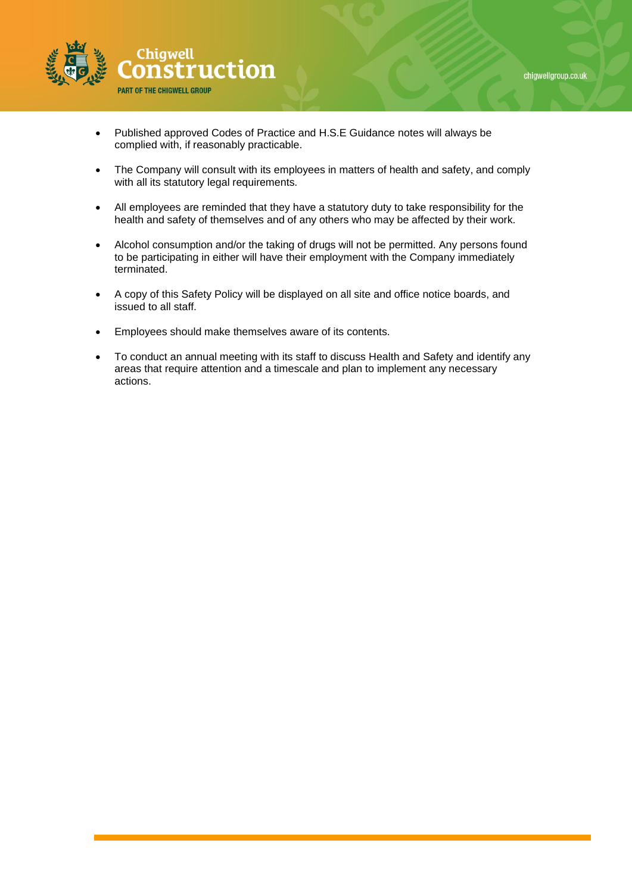

- Published approved Codes of Practice and H.S.E Guidance notes will always be complied with, if reasonably practicable.
- The Company will consult with its employees in matters of health and safety, and comply with all its statutory legal requirements.
- All employees are reminded that they have a statutory duty to take responsibility for the health and safety of themselves and of any others who may be affected by their work.
- Alcohol consumption and/or the taking of drugs will not be permitted. Any persons found to be participating in either will have their employment with the Company immediately terminated.
- A copy of this Safety Policy will be displayed on all site and office notice boards, and issued to all staff.
- Employees should make themselves aware of its contents.
- To conduct an annual meeting with its staff to discuss Health and Safety and identify any areas that require attention and a timescale and plan to implement any necessary actions.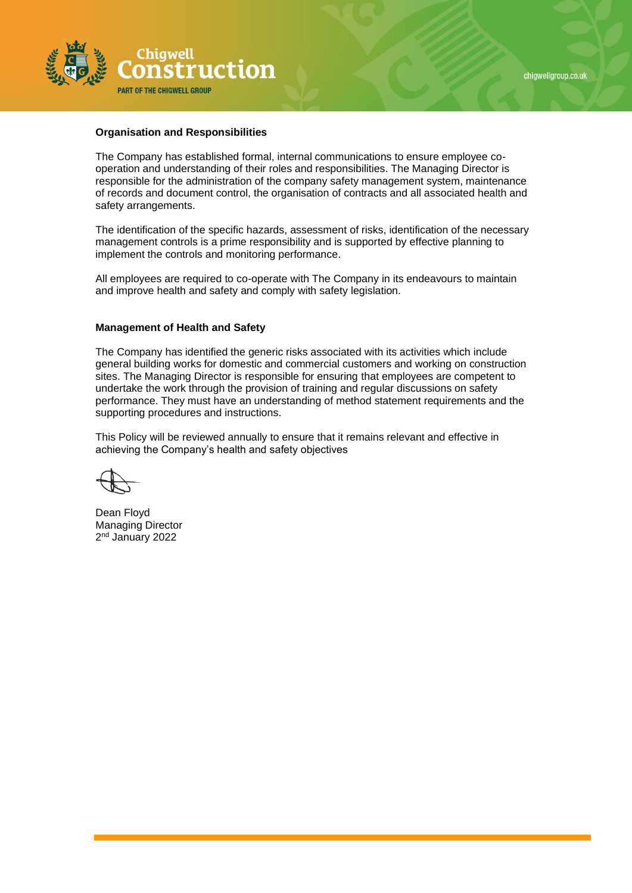

# **Organisation and Responsibilities**

The Company has established formal, internal communications to ensure employee cooperation and understanding of their roles and responsibilities. The Managing Director is responsible for the administration of the company safety management system, maintenance of records and document control, the organisation of contracts and all associated health and safety arrangements.

The identification of the specific hazards, assessment of risks, identification of the necessary management controls is a prime responsibility and is supported by effective planning to implement the controls and monitoring performance.

All employees are required to co-operate with The Company in its endeavours to maintain and improve health and safety and comply with safety legislation.

#### **Management of Health and Safety**

The Company has identified the generic risks associated with its activities which include general building works for domestic and commercial customers and working on construction sites. The Managing Director is responsible for ensuring that employees are competent to undertake the work through the provision of training and regular discussions on safety performance. They must have an understanding of method statement requirements and the supporting procedures and instructions.

This Policy will be reviewed annually to ensure that it remains relevant and effective in achieving the Company's health and safety objectives

Dean Floyd Managing Director 2<sup>nd</sup> January 2022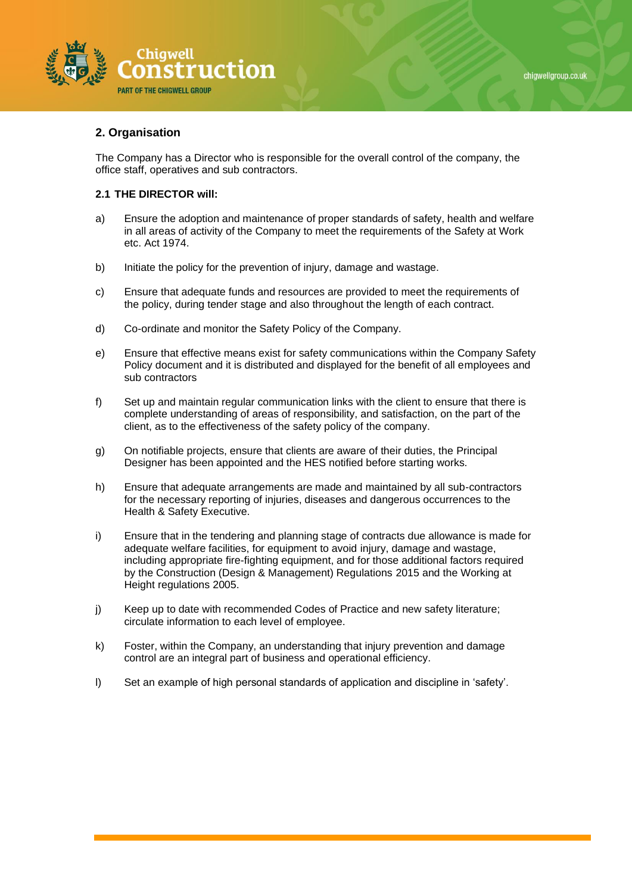



# **2. Organisation**

The Company has a Director who is responsible for the overall control of the company, the office staff, operatives and sub contractors.

## **2.1 THE DIRECTOR will:**

- a) Ensure the adoption and maintenance of proper standards of safety, health and welfare in all areas of activity of the Company to meet the requirements of the Safety at Work etc. Act 1974.
- b) Initiate the policy for the prevention of injury, damage and wastage.
- c) Ensure that adequate funds and resources are provided to meet the requirements of the policy, during tender stage and also throughout the length of each contract.
- d) Co-ordinate and monitor the Safety Policy of the Company.
- e) Ensure that effective means exist for safety communications within the Company Safety Policy document and it is distributed and displayed for the benefit of all employees and sub contractors
- f) Set up and maintain regular communication links with the client to ensure that there is complete understanding of areas of responsibility, and satisfaction, on the part of the client, as to the effectiveness of the safety policy of the company.
- g) On notifiable projects, ensure that clients are aware of their duties, the Principal Designer has been appointed and the HES notified before starting works.
- h) Ensure that adequate arrangements are made and maintained by all sub-contractors for the necessary reporting of injuries, diseases and dangerous occurrences to the Health & Safety Executive.
- i) Ensure that in the tendering and planning stage of contracts due allowance is made for adequate welfare facilities, for equipment to avoid injury, damage and wastage, including appropriate fire-fighting equipment, and for those additional factors required by the Construction (Design & Management) Regulations 2015 and the Working at Height regulations 2005.
- j) Keep up to date with recommended Codes of Practice and new safety literature; circulate information to each level of employee.
- k) Foster, within the Company, an understanding that injury prevention and damage control are an integral part of business and operational efficiency.
- l) Set an example of high personal standards of application and discipline in 'safety'.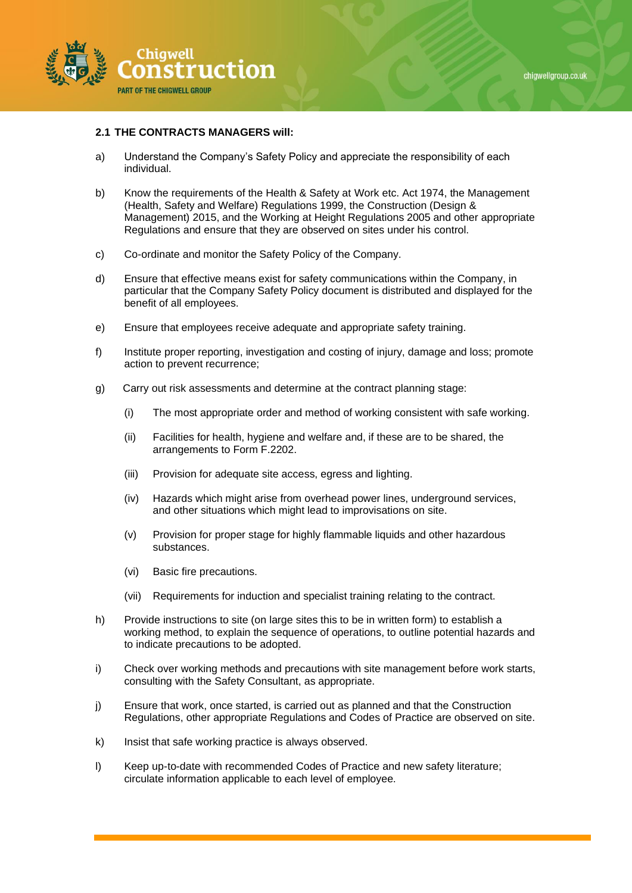

## **2.1 THE CONTRACTS MANAGERS will:**

- a) Understand the Company's Safety Policy and appreciate the responsibility of each individual.
- b) Know the requirements of the Health & Safety at Work etc. Act 1974, the Management (Health, Safety and Welfare) Regulations 1999, the Construction (Design & Management) 2015, and the Working at Height Regulations 2005 and other appropriate Regulations and ensure that they are observed on sites under his control.
- c) Co-ordinate and monitor the Safety Policy of the Company.
- d) Ensure that effective means exist for safety communications within the Company, in particular that the Company Safety Policy document is distributed and displayed for the benefit of all employees.
- e) Ensure that employees receive adequate and appropriate safety training.
- f) Institute proper reporting, investigation and costing of injury, damage and loss; promote action to prevent recurrence;
- g) Carry out risk assessments and determine at the contract planning stage:
	- (i) The most appropriate order and method of working consistent with safe working.
	- (ii) Facilities for health, hygiene and welfare and, if these are to be shared, the arrangements to Form F.2202.
	- (iii) Provision for adequate site access, egress and lighting.
	- (iv) Hazards which might arise from overhead power lines, underground services, and other situations which might lead to improvisations on site.
	- (v) Provision for proper stage for highly flammable liquids and other hazardous substances.
	- (vi) Basic fire precautions.
	- (vii) Requirements for induction and specialist training relating to the contract.
- h) Provide instructions to site (on large sites this to be in written form) to establish a working method, to explain the sequence of operations, to outline potential hazards and to indicate precautions to be adopted.
- i) Check over working methods and precautions with site management before work starts, consulting with the Safety Consultant, as appropriate.
- j) Ensure that work, once started, is carried out as planned and that the Construction Regulations, other appropriate Regulations and Codes of Practice are observed on site.
- k) Insist that safe working practice is always observed.
- l) Keep up-to-date with recommended Codes of Practice and new safety literature; circulate information applicable to each level of employee.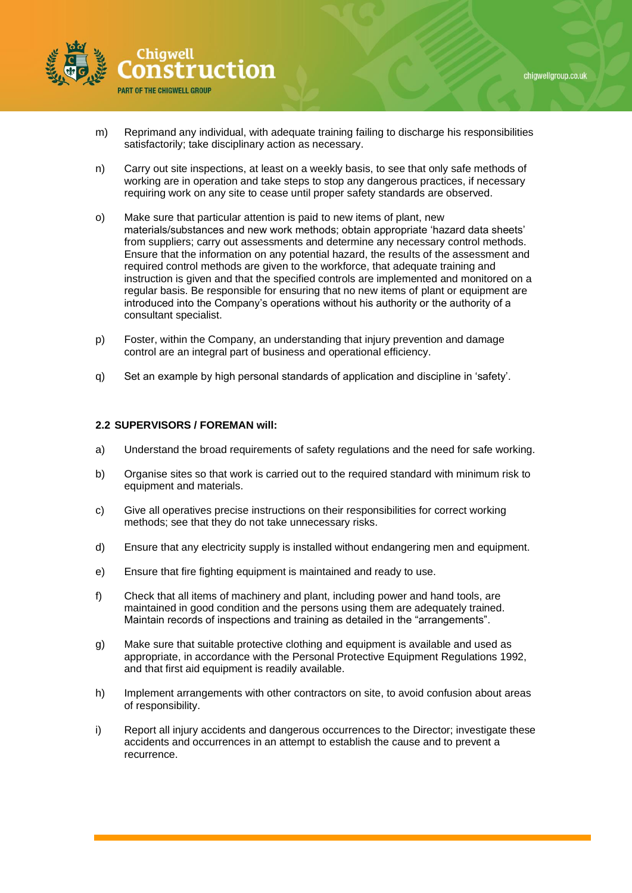

- m) Reprimand any individual, with adequate training failing to discharge his responsibilities satisfactorily; take disciplinary action as necessary.
- n) Carry out site inspections, at least on a weekly basis, to see that only safe methods of working are in operation and take steps to stop any dangerous practices, if necessary requiring work on any site to cease until proper safety standards are observed.
- o) Make sure that particular attention is paid to new items of plant, new materials/substances and new work methods; obtain appropriate 'hazard data sheets' from suppliers; carry out assessments and determine any necessary control methods. Ensure that the information on any potential hazard, the results of the assessment and required control methods are given to the workforce, that adequate training and instruction is given and that the specified controls are implemented and monitored on a regular basis. Be responsible for ensuring that no new items of plant or equipment are introduced into the Company's operations without his authority or the authority of a consultant specialist.
- p) Foster, within the Company, an understanding that injury prevention and damage control are an integral part of business and operational efficiency.
- q) Set an example by high personal standards of application and discipline in 'safety'.

## **2.2 SUPERVISORS / FOREMAN will:**

- a) Understand the broad requirements of safety regulations and the need for safe working.
- b) Organise sites so that work is carried out to the required standard with minimum risk to equipment and materials.
- c) Give all operatives precise instructions on their responsibilities for correct working methods; see that they do not take unnecessary risks.
- d) Ensure that any electricity supply is installed without endangering men and equipment.
- e) Ensure that fire fighting equipment is maintained and ready to use.
- f) Check that all items of machinery and plant, including power and hand tools, are maintained in good condition and the persons using them are adequately trained. Maintain records of inspections and training as detailed in the "arrangements".
- g) Make sure that suitable protective clothing and equipment is available and used as appropriate, in accordance with the Personal Protective Equipment Regulations 1992, and that first aid equipment is readily available.
- h) Implement arrangements with other contractors on site, to avoid confusion about areas of responsibility.
- i) Report all injury accidents and dangerous occurrences to the Director; investigate these accidents and occurrences in an attempt to establish the cause and to prevent a recurrence.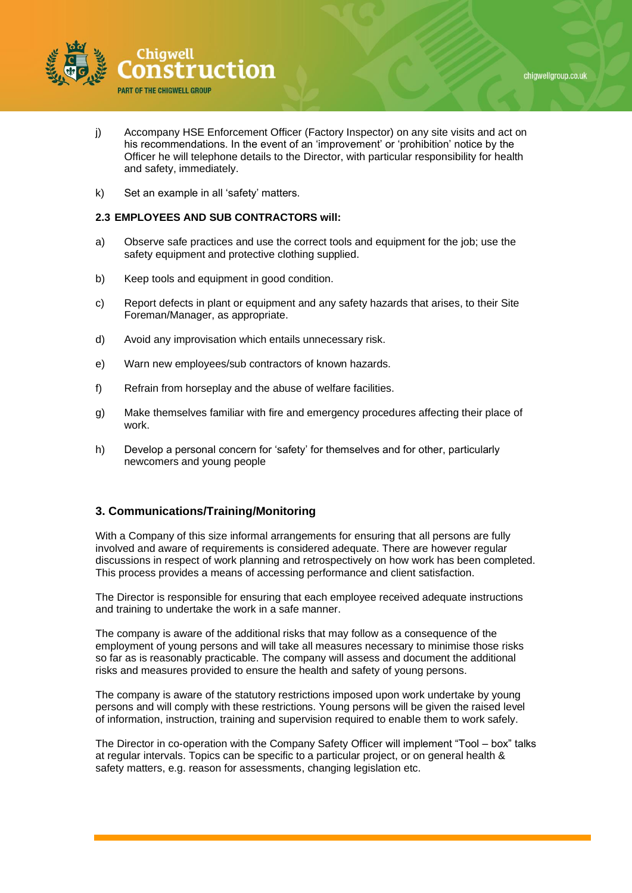



- j) Accompany HSE Enforcement Officer (Factory Inspector) on any site visits and act on his recommendations. In the event of an 'improvement' or 'prohibition' notice by the Officer he will telephone details to the Director, with particular responsibility for health and safety, immediately.
- k) Set an example in all 'safety' matters.

## **2.3 EMPLOYEES AND SUB CONTRACTORS will:**

- a) Observe safe practices and use the correct tools and equipment for the job; use the safety equipment and protective clothing supplied.
- b) Keep tools and equipment in good condition.
- c) Report defects in plant or equipment and any safety hazards that arises, to their Site Foreman/Manager, as appropriate.
- d) Avoid any improvisation which entails unnecessary risk.
- e) Warn new employees/sub contractors of known hazards.
- f) Refrain from horseplay and the abuse of welfare facilities.
- g) Make themselves familiar with fire and emergency procedures affecting their place of work.
- h) Develop a personal concern for 'safety' for themselves and for other, particularly newcomers and young people

# **3. Communications/Training/Monitoring**

With a Company of this size informal arrangements for ensuring that all persons are fully involved and aware of requirements is considered adequate. There are however regular discussions in respect of work planning and retrospectively on how work has been completed. This process provides a means of accessing performance and client satisfaction.

The Director is responsible for ensuring that each employee received adequate instructions and training to undertake the work in a safe manner.

The company is aware of the additional risks that may follow as a consequence of the employment of young persons and will take all measures necessary to minimise those risks so far as is reasonably practicable. The company will assess and document the additional risks and measures provided to ensure the health and safety of young persons.

The company is aware of the statutory restrictions imposed upon work undertake by young persons and will comply with these restrictions. Young persons will be given the raised level of information, instruction, training and supervision required to enable them to work safely.

The Director in co-operation with the Company Safety Officer will implement "Tool – box" talks at regular intervals. Topics can be specific to a particular project, or on general health & safety matters, e.g. reason for assessments, changing legislation etc.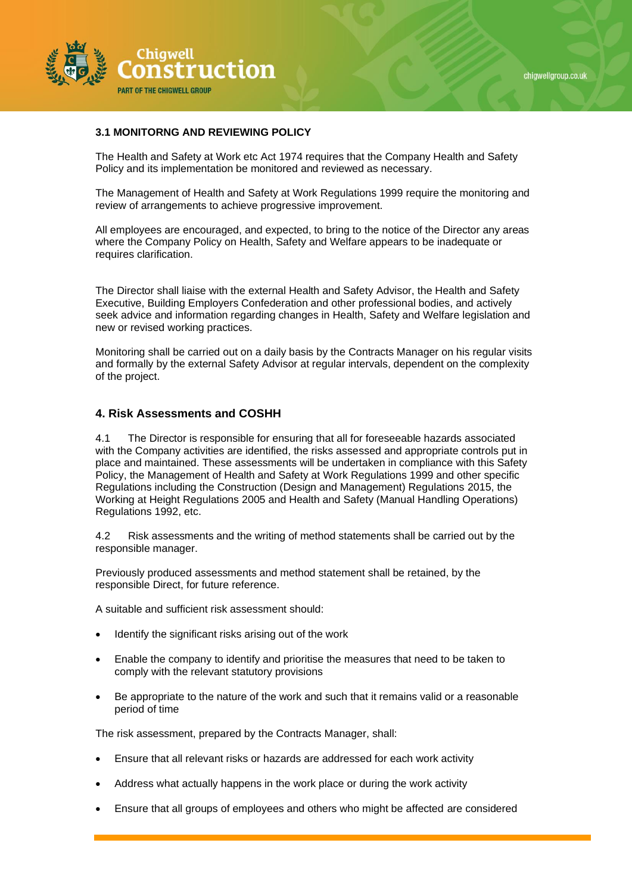

# **3.1 MONITORNG AND REVIEWING POLICY**

The Health and Safety at Work etc Act 1974 requires that the Company Health and Safety Policy and its implementation be monitored and reviewed as necessary.

The Management of Health and Safety at Work Regulations 1999 require the monitoring and review of arrangements to achieve progressive improvement.

All employees are encouraged, and expected, to bring to the notice of the Director any areas where the Company Policy on Health, Safety and Welfare appears to be inadequate or requires clarification.

The Director shall liaise with the external Health and Safety Advisor, the Health and Safety Executive, Building Employers Confederation and other professional bodies, and actively seek advice and information regarding changes in Health, Safety and Welfare legislation and new or revised working practices.

Monitoring shall be carried out on a daily basis by the Contracts Manager on his regular visits and formally by the external Safety Advisor at regular intervals, dependent on the complexity of the project.

## **4. Risk Assessments and COSHH**

4.1 The Director is responsible for ensuring that all for foreseeable hazards associated with the Company activities are identified, the risks assessed and appropriate controls put in place and maintained. These assessments will be undertaken in compliance with this Safety Policy, the Management of Health and Safety at Work Regulations 1999 and other specific Regulations including the Construction (Design and Management) Regulations 2015, the Working at Height Regulations 2005 and Health and Safety (Manual Handling Operations) Regulations 1992, etc.

4.2 Risk assessments and the writing of method statements shall be carried out by the responsible manager.

Previously produced assessments and method statement shall be retained, by the responsible Direct, for future reference.

A suitable and sufficient risk assessment should:

- Identify the significant risks arising out of the work
- Enable the company to identify and prioritise the measures that need to be taken to comply with the relevant statutory provisions
- Be appropriate to the nature of the work and such that it remains valid or a reasonable period of time

The risk assessment, prepared by the Contracts Manager, shall:

- Ensure that all relevant risks or hazards are addressed for each work activity
- Address what actually happens in the work place or during the work activity
- Ensure that all groups of employees and others who might be affected are considered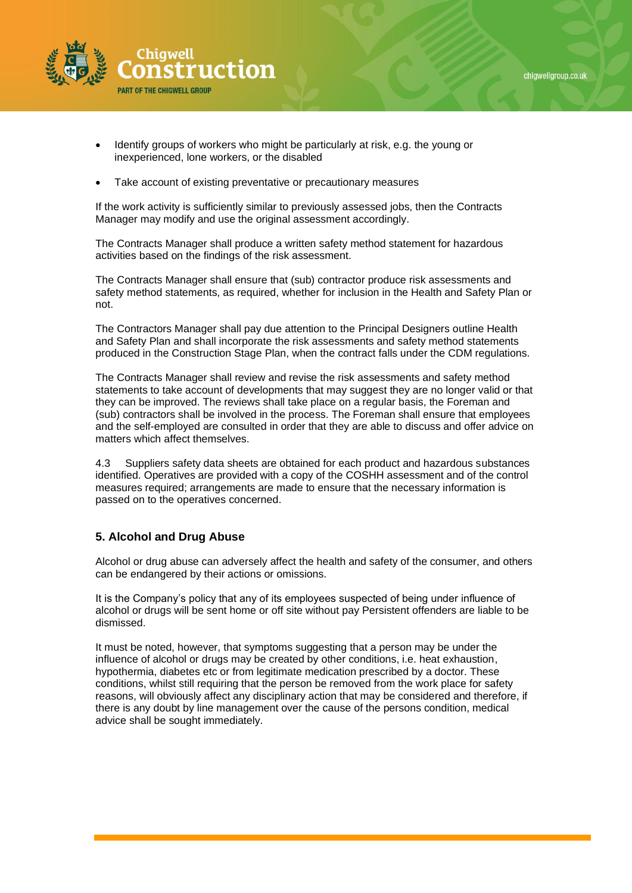

- Identify groups of workers who might be particularly at risk, e.g. the young or inexperienced, lone workers, or the disabled
- Take account of existing preventative or precautionary measures

If the work activity is sufficiently similar to previously assessed jobs, then the Contracts Manager may modify and use the original assessment accordingly.

The Contracts Manager shall produce a written safety method statement for hazardous activities based on the findings of the risk assessment.

The Contracts Manager shall ensure that (sub) contractor produce risk assessments and safety method statements, as required, whether for inclusion in the Health and Safety Plan or not.

The Contractors Manager shall pay due attention to the Principal Designers outline Health and Safety Plan and shall incorporate the risk assessments and safety method statements produced in the Construction Stage Plan, when the contract falls under the CDM regulations.

The Contracts Manager shall review and revise the risk assessments and safety method statements to take account of developments that may suggest they are no longer valid or that they can be improved. The reviews shall take place on a regular basis, the Foreman and (sub) contractors shall be involved in the process. The Foreman shall ensure that employees and the self-employed are consulted in order that they are able to discuss and offer advice on matters which affect themselves.

4.3 Suppliers safety data sheets are obtained for each product and hazardous substances identified. Operatives are provided with a copy of the COSHH assessment and of the control measures required; arrangements are made to ensure that the necessary information is passed on to the operatives concerned.

## **5. Alcohol and Drug Abuse**

Alcohol or drug abuse can adversely affect the health and safety of the consumer, and others can be endangered by their actions or omissions.

It is the Company's policy that any of its employees suspected of being under influence of alcohol or drugs will be sent home or off site without pay Persistent offenders are liable to be dismissed.

It must be noted, however, that symptoms suggesting that a person may be under the influence of alcohol or drugs may be created by other conditions, i.e. heat exhaustion, hypothermia, diabetes etc or from legitimate medication prescribed by a doctor. These conditions, whilst still requiring that the person be removed from the work place for safety reasons, will obviously affect any disciplinary action that may be considered and therefore, if there is any doubt by line management over the cause of the persons condition, medical advice shall be sought immediately.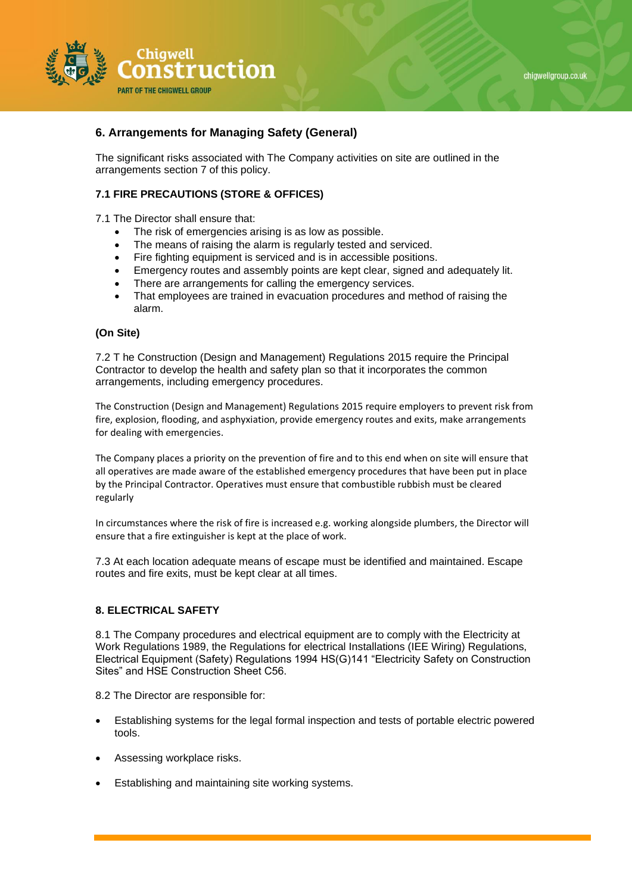

# **6. Arrangements for Managing Safety (General)**

The significant risks associated with The Company activities on site are outlined in the arrangements section 7 of this policy.

## **7.1 FIRE PRECAUTIONS (STORE & OFFICES)**

7.1 The Director shall ensure that:

- The risk of emergencies arising is as low as possible.
- The means of raising the alarm is regularly tested and serviced.
- Fire fighting equipment is serviced and is in accessible positions.
- Emergency routes and assembly points are kept clear, signed and adequately lit.
- There are arrangements for calling the emergency services.
- That employees are trained in evacuation procedures and method of raising the alarm.

#### **(On Site)**

7.2 T he Construction (Design and Management) Regulations 2015 require the Principal Contractor to develop the health and safety plan so that it incorporates the common arrangements, including emergency procedures.

The Construction (Design and Management) Regulations 2015 require employers to prevent risk from fire, explosion, flooding, and asphyxiation, provide emergency routes and exits, make arrangements for dealing with emergencies.

The Company places a priority on the prevention of fire and to this end when on site will ensure that all operatives are made aware of the established emergency procedures that have been put in place by the Principal Contractor. Operatives must ensure that combustible rubbish must be cleared regularly

In circumstances where the risk of fire is increased e.g. working alongside plumbers, the Director will ensure that a fire extinguisher is kept at the place of work.

7.3 At each location adequate means of escape must be identified and maintained. Escape routes and fire exits, must be kept clear at all times.

## **8. ELECTRICAL SAFETY**

8.1 The Company procedures and electrical equipment are to comply with the Electricity at Work Regulations 1989, the Regulations for electrical Installations (IEE Wiring) Regulations, Electrical Equipment (Safety) Regulations 1994 HS(G)141 "Electricity Safety on Construction Sites" and HSE Construction Sheet C56.

8.2 The Director are responsible for:

- Establishing systems for the legal formal inspection and tests of portable electric powered tools.
- Assessing workplace risks.
- Establishing and maintaining site working systems.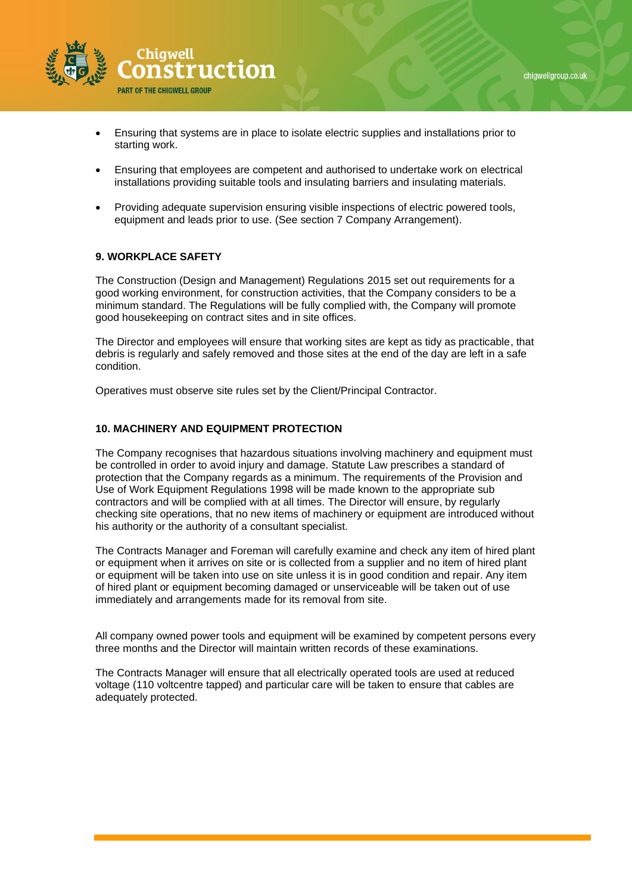



- Ensuring that systems are in place to isolate electric supplies and installations prior to starting work.
- Ensuring that employees are competent and authorised to undertake work on electrical installations providing suitable tools and insulating barriers and insulating materials.
- Providing adequate supervision ensuring visible inspections of electric powered tools, equipment and leads prior to use. (See section 7 Company Arrangement).

## **9. WORKPLACE SAFETY**

The Construction (Design and Management) Regulations 2015 set out requirements for a good working environment, for construction activities, that the Company considers to be a minimum standard. The Regulations will be fully complied with, the Company will promote good housekeeping on contract sites and in site offices.

The Director and employees will ensure that working sites are kept as tidy as practicable, that debris is regularly and safely removed and those sites at the end of the day are left in a safe condition.

Operatives must observe site rules set by the Client/Principal Contractor.

# **10. MACHINERY AND EQUIPMENT PROTECTION**

The Company recognises that hazardous situations involving machinery and equipment must be controlled in order to avoid injury and damage. Statute Law prescribes a standard of protection that the Company regards as a minimum. The requirements of the Provision and Use of Work Equipment Regulations 1998 will be made known to the appropriate sub contractors and will be complied with at all times. The Director will ensure, by regularly checking site operations, that no new items of machinery or equipment are introduced without his authority or the authority of a consultant specialist.

The Contracts Manager and Foreman will carefully examine and check any item of hired plant or equipment when it arrives on site or is collected from a supplier and no item of hired plant or equipment will be taken into use on site unless it is in good condition and repair. Any item of hired plant or equipment becoming damaged or unserviceable will be taken out of use immediately and arrangements made for its removal from site.

All company owned power tools and equipment will be examined by competent persons every three months and the Director will maintain written records of these examinations.

The Contracts Manager will ensure that all electrically operated tools are used at reduced voltage (110 voltcentre tapped) and particular care will be taken to ensure that cables are adequately protected.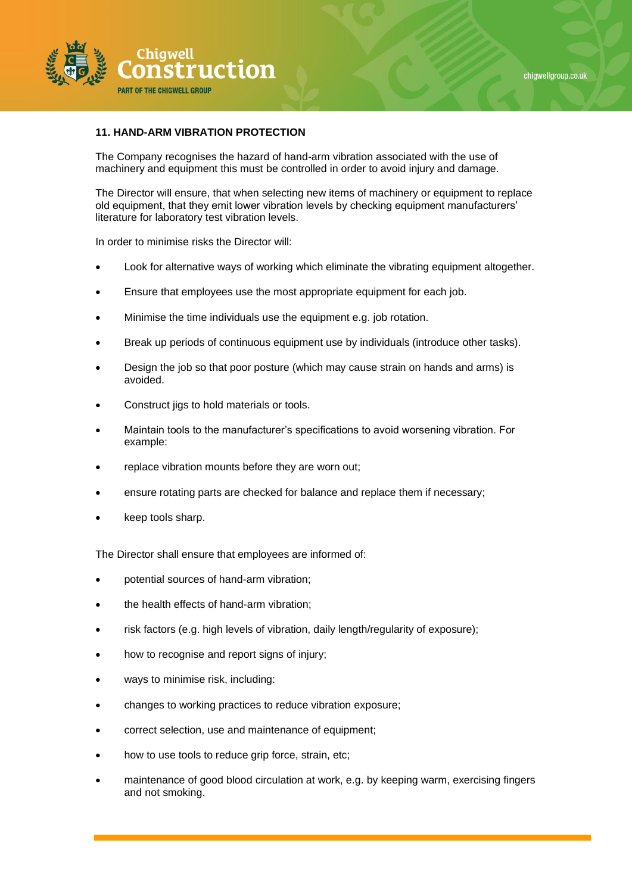

## **11. HAND-ARM VIBRATION PROTECTION**

The Company recognises the hazard of hand-arm vibration associated with the use of machinery and equipment this must be controlled in order to avoid injury and damage.

The Director will ensure, that when selecting new items of machinery or equipment to replace old equipment, that they emit lower vibration levels by checking equipment manufacturers' literature for laboratory test vibration levels.

In order to minimise risks the Director will:

- Look for alternative ways of working which eliminate the vibrating equipment altogether.
- Ensure that employees use the most appropriate equipment for each job.
- Minimise the time individuals use the equipment e.g. job rotation.
- Break up periods of continuous equipment use by individuals (introduce other tasks).
- Design the job so that poor posture (which may cause strain on hands and arms) is avoided.
- Construct jigs to hold materials or tools.
- Maintain tools to the manufacturer's specifications to avoid worsening vibration. For example:
- replace vibration mounts before they are worn out;
- ensure rotating parts are checked for balance and replace them if necessary;
- keep tools sharp.

The Director shall ensure that employees are informed of:

- potential sources of hand-arm vibration;
- the health effects of hand-arm vibration;
- risk factors (e.g. high levels of vibration, daily length/regularity of exposure);
- how to recognise and report signs of injury;
- ways to minimise risk, including:
- changes to working practices to reduce vibration exposure;
- correct selection, use and maintenance of equipment;
- how to use tools to reduce grip force, strain, etc;
- maintenance of good blood circulation at work, e.g. by keeping warm, exercising fingers and not smoking.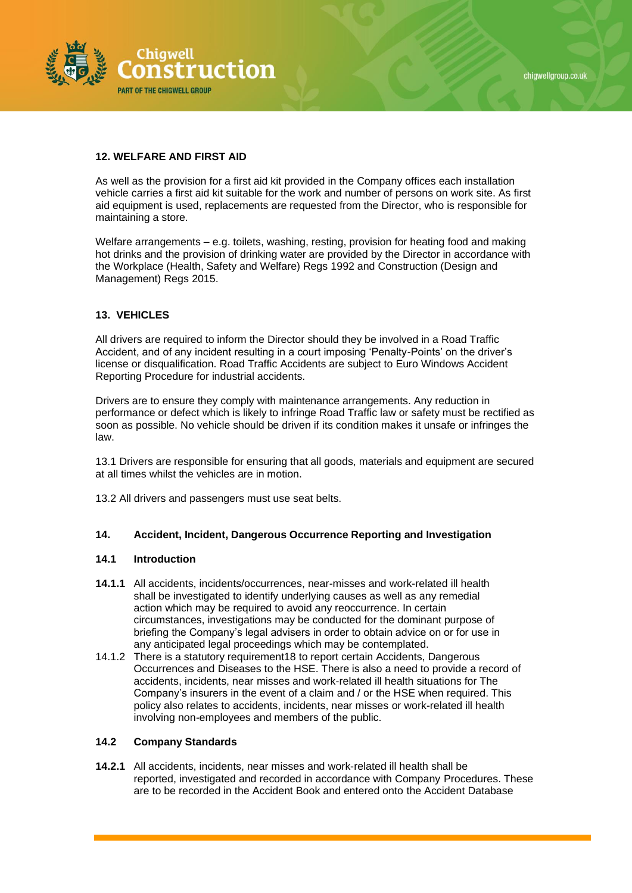

# **12. WELFARE AND FIRST AID**

As well as the provision for a first aid kit provided in the Company offices each installation vehicle carries a first aid kit suitable for the work and number of persons on work site. As first aid equipment is used, replacements are requested from the Director, who is responsible for maintaining a store.

Welfare arrangements – e.g. toilets, washing, resting, provision for heating food and making hot drinks and the provision of drinking water are provided by the Director in accordance with the Workplace (Health, Safety and Welfare) Regs 1992 and Construction (Design and Management) Regs 2015.

## **13. VEHICLES**

All drivers are required to inform the Director should they be involved in a Road Traffic Accident, and of any incident resulting in a court imposing 'Penalty-Points' on the driver's license or disqualification. Road Traffic Accidents are subject to Euro Windows Accident Reporting Procedure for industrial accidents.

Drivers are to ensure they comply with maintenance arrangements. Any reduction in performance or defect which is likely to infringe Road Traffic law or safety must be rectified as soon as possible. No vehicle should be driven if its condition makes it unsafe or infringes the law.

13.1 Drivers are responsible for ensuring that all goods, materials and equipment are secured at all times whilst the vehicles are in motion.

13.2 All drivers and passengers must use seat belts.

## **14. Accident, Incident, Dangerous Occurrence Reporting and Investigation**

#### **14.1 Introduction**

- **14.1.1** All accidents, incidents/occurrences, near-misses and work-related ill health shall be investigated to identify underlying causes as well as any remedial action which may be required to avoid any reoccurrence. In certain circumstances, investigations may be conducted for the dominant purpose of briefing the Company's legal advisers in order to obtain advice on or for use in any anticipated legal proceedings which may be contemplated.
- 14.1.2 There is a statutory requirement18 to report certain Accidents, Dangerous Occurrences and Diseases to the HSE. There is also a need to provide a record of accidents, incidents, near misses and work-related ill health situations for The Company's insurers in the event of a claim and / or the HSE when required. This policy also relates to accidents, incidents, near misses or work-related ill health involving non-employees and members of the public.

#### **14.2 Company Standards**

**14.2.1** All accidents, incidents, near misses and work-related ill health shall be reported, investigated and recorded in accordance with Company Procedures. These are to be recorded in the Accident Book and entered onto the Accident Database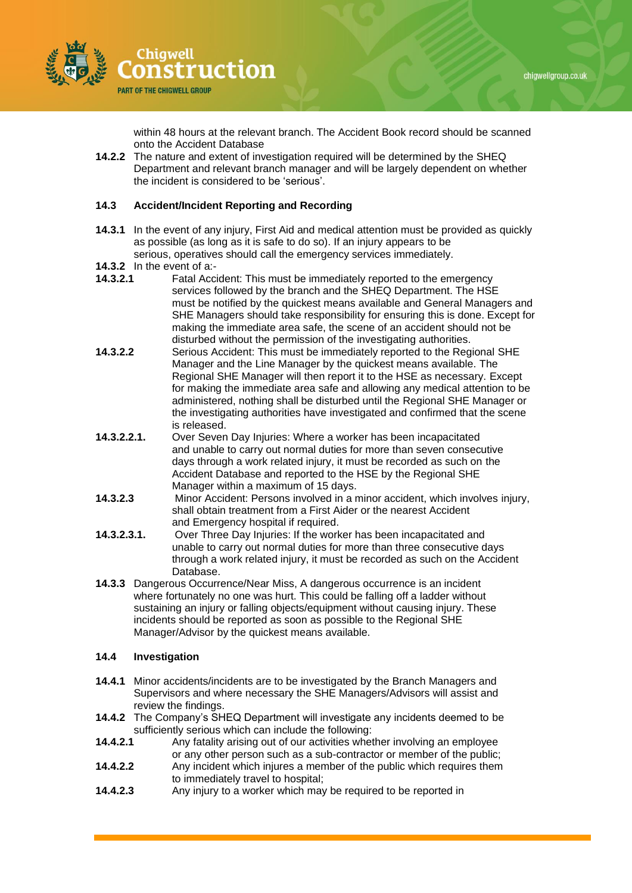

within 48 hours at the relevant branch. The Accident Book record should be scanned onto the Accident Database

**14.2.2** The nature and extent of investigation required will be determined by the SHEQ Department and relevant branch manager and will be largely dependent on whether the incident is considered to be 'serious'.

## **14.3 Accident/Incident Reporting and Recording**

- **14.3.1** In the event of any injury, First Aid and medical attention must be provided as quickly as possible (as long as it is safe to do so). If an injury appears to be serious, operatives should call the emergency services immediately.
- **14.3.2** In the event of a:-<br>**14.3.2.1 Eatal Acci**
- **14.3.2.1** Fatal Accident: This must be immediately reported to the emergency services followed by the branch and the SHEQ Department. The HSE must be notified by the quickest means available and General Managers and SHE Managers should take responsibility for ensuring this is done. Except for making the immediate area safe, the scene of an accident should not be disturbed without the permission of the investigating authorities.
- **14.3.2.2** Serious Accident: This must be immediately reported to the Regional SHE Manager and the Line Manager by the quickest means available. The Regional SHE Manager will then report it to the HSE as necessary. Except for making the immediate area safe and allowing any medical attention to be administered, nothing shall be disturbed until the Regional SHE Manager or the investigating authorities have investigated and confirmed that the scene is released.
- **14.3.2.2.1.** Over Seven Day Injuries: Where a worker has been incapacitated and unable to carry out normal duties for more than seven consecutive days through a work related injury, it must be recorded as such on the Accident Database and reported to the HSE by the Regional SHE Manager within a maximum of 15 days.
- **14.3.2.3** Minor Accident: Persons involved in a minor accident, which involves injury, shall obtain treatment from a First Aider or the nearest Accident and Emergency hospital if required.
- **14.3.2.3.1.** Over Three Day Injuries: If the worker has been incapacitated and unable to carry out normal duties for more than three consecutive days through a work related injury, it must be recorded as such on the Accident Database.
- **14.3.3** Dangerous Occurrence/Near Miss, A dangerous occurrence is an incident where fortunately no one was hurt. This could be falling off a ladder without sustaining an injury or falling objects/equipment without causing injury. These incidents should be reported as soon as possible to the Regional SHE Manager/Advisor by the quickest means available.

#### **14.4 Investigation**

- **14.4.1** Minor accidents/incidents are to be investigated by the Branch Managers and Supervisors and where necessary the SHE Managers/Advisors will assist and review the findings.
- **14.4.2** The Company's SHEQ Department will investigate any incidents deemed to be sufficiently serious which can include the following:
- **14.4.2.1** Any fatality arising out of our activities whether involving an employee or any other person such as a sub-contractor or member of the public;
- **14.4.2.2** Any incident which injures a member of the public which requires them to immediately travel to hospital;
- **14.4.2.3** Any injury to a worker which may be required to be reported in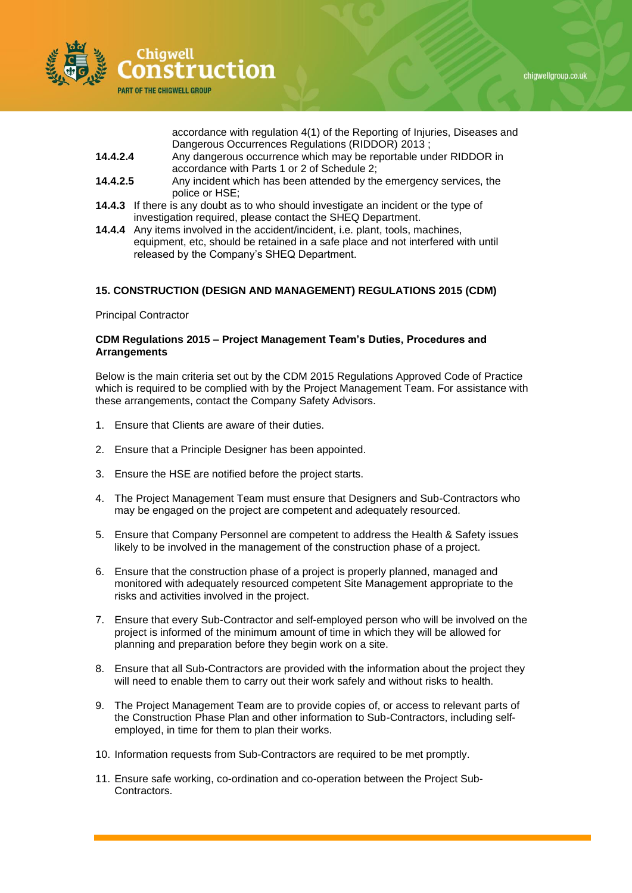

accordance with regulation 4(1) of the Reporting of Injuries, Diseases and Dangerous Occurrences Regulations (RIDDOR) 2013 ;

- **14.4.2.4** Any dangerous occurrence which may be reportable under RIDDOR in accordance with Parts 1 or 2 of Schedule 2;
- **14.4.2.5** Any incident which has been attended by the emergency services, the police or HSE;
- **14.4.3** If there is any doubt as to who should investigate an incident or the type of investigation required, please contact the SHEQ Department.
- **14.4.4** Any items involved in the accident/incident, i.e. plant, tools, machines, equipment, etc, should be retained in a safe place and not interfered with until released by the Company's SHEQ Department.

# **15. CONSTRUCTION (DESIGN AND MANAGEMENT) REGULATIONS 2015 (CDM)**

Principal Contractor

#### **CDM Regulations 2015 – Project Management Team's Duties, Procedures and Arrangements**

Below is the main criteria set out by the CDM 2015 Regulations Approved Code of Practice which is required to be complied with by the Project Management Team. For assistance with these arrangements, contact the Company Safety Advisors.

- 1. Ensure that Clients are aware of their duties.
- 2. Ensure that a Principle Designer has been appointed.
- 3. Ensure the HSE are notified before the project starts.
- 4. The Project Management Team must ensure that Designers and Sub-Contractors who may be engaged on the project are competent and adequately resourced.
- 5. Ensure that Company Personnel are competent to address the Health & Safety issues likely to be involved in the management of the construction phase of a project.
- 6. Ensure that the construction phase of a project is properly planned, managed and monitored with adequately resourced competent Site Management appropriate to the risks and activities involved in the project.
- 7. Ensure that every Sub-Contractor and self-employed person who will be involved on the project is informed of the minimum amount of time in which they will be allowed for planning and preparation before they begin work on a site.
- 8. Ensure that all Sub-Contractors are provided with the information about the project they will need to enable them to carry out their work safely and without risks to health.
- 9. The Project Management Team are to provide copies of, or access to relevant parts of the Construction Phase Plan and other information to Sub-Contractors, including selfemployed, in time for them to plan their works.
- 10. Information requests from Sub-Contractors are required to be met promptly.
- 11. Ensure safe working, co-ordination and co-operation between the Project Sub-Contractors.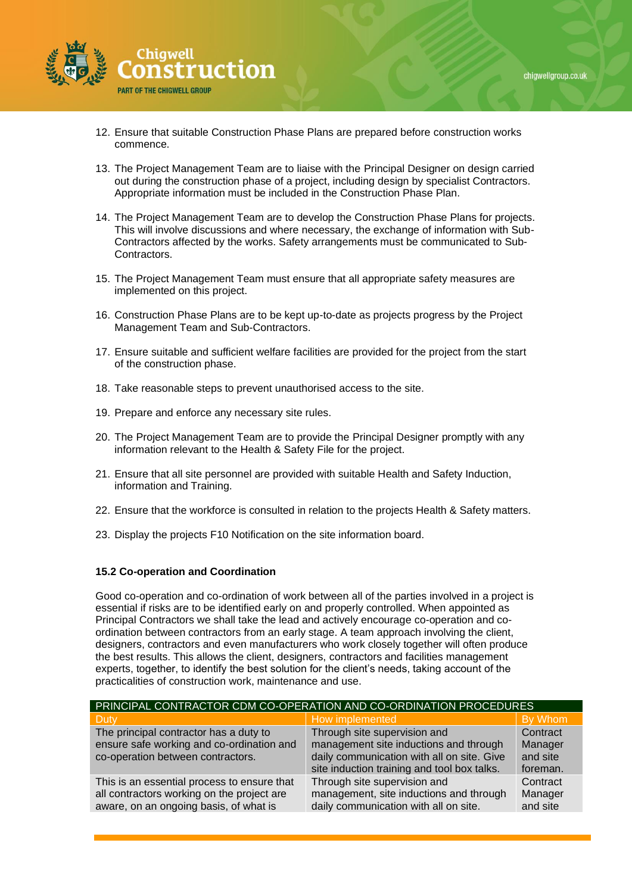

- 12. Ensure that suitable Construction Phase Plans are prepared before construction works commence.
- 13. The Project Management Team are to liaise with the Principal Designer on design carried out during the construction phase of a project, including design by specialist Contractors. Appropriate information must be included in the Construction Phase Plan.
- 14. The Project Management Team are to develop the Construction Phase Plans for projects. This will involve discussions and where necessary, the exchange of information with Sub-Contractors affected by the works. Safety arrangements must be communicated to Sub-Contractors.
- 15. The Project Management Team must ensure that all appropriate safety measures are implemented on this project.
- 16. Construction Phase Plans are to be kept up-to-date as projects progress by the Project Management Team and Sub-Contractors.
- 17. Ensure suitable and sufficient welfare facilities are provided for the project from the start of the construction phase.
- 18. Take reasonable steps to prevent unauthorised access to the site.
- 19. Prepare and enforce any necessary site rules.
- 20. The Project Management Team are to provide the Principal Designer promptly with any information relevant to the Health & Safety File for the project.
- 21. Ensure that all site personnel are provided with suitable Health and Safety Induction, information and Training.
- 22. Ensure that the workforce is consulted in relation to the projects Health & Safety matters.
- 23. Display the projects F10 Notification on the site information board.

#### **15.2 Co-operation and Coordination**

Good co-operation and co-ordination of work between all of the parties involved in a project is essential if risks are to be identified early on and properly controlled. When appointed as Principal Contractors we shall take the lead and actively encourage co-operation and coordination between contractors from an early stage. A team approach involving the client, designers, contractors and even manufacturers who work closely together will often produce the best results. This allows the client, designers, contractors and facilities management experts, together, to identify the best solution for the client's needs, taking account of the practicalities of construction work, maintenance and use.

| PRINCIPAL CONTRACTOR CDM CO-OPERATION AND CO-ORDINATION PROCEDURES                                                                  |                                                                                                                  |                                 |
|-------------------------------------------------------------------------------------------------------------------------------------|------------------------------------------------------------------------------------------------------------------|---------------------------------|
| <b>Duty</b>                                                                                                                         | How implemented                                                                                                  | By Whom                         |
| The principal contractor has a duty to                                                                                              | Through site supervision and                                                                                     | Contract                        |
| ensure safe working and co-ordination and                                                                                           | management site inductions and through                                                                           | Manager                         |
| co-operation between contractors.                                                                                                   | daily communication with all on site. Give<br>site induction training and tool box talks.                        | and site<br>foreman.            |
| This is an essential process to ensure that<br>all contractors working on the project are<br>aware, on an ongoing basis, of what is | Through site supervision and<br>management, site inductions and through<br>daily communication with all on site. | Contract<br>Manager<br>and site |
|                                                                                                                                     |                                                                                                                  |                                 |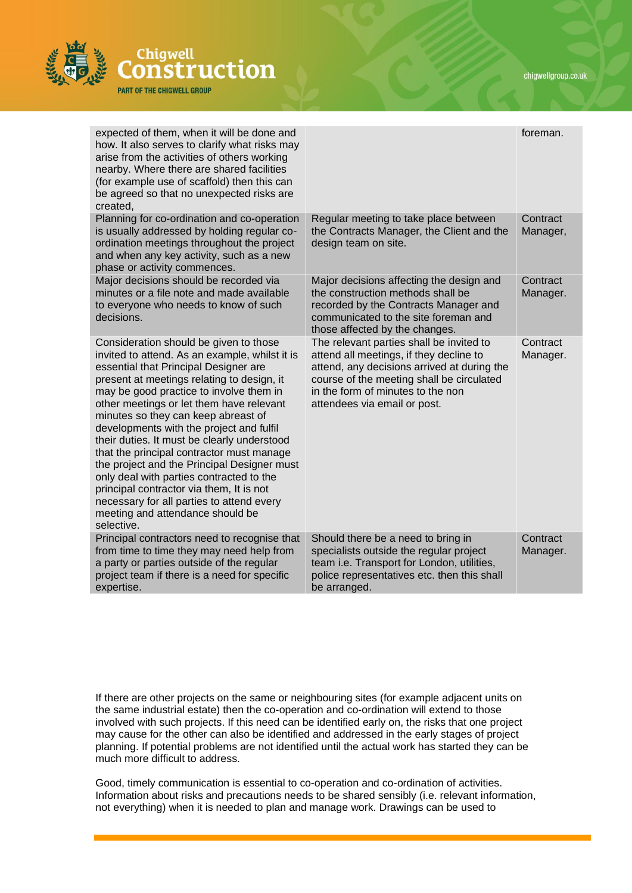

| expected of them, when it will be done and<br>how. It also serves to clarify what risks may<br>arise from the activities of others working<br>nearby. Where there are shared facilities<br>(for example use of scaffold) then this can<br>be agreed so that no unexpected risks are<br>created,                                                                                                                                                                                                                                                                                                                                                                                             |                                                                                                                                                                                                                                                      | foreman.             |
|---------------------------------------------------------------------------------------------------------------------------------------------------------------------------------------------------------------------------------------------------------------------------------------------------------------------------------------------------------------------------------------------------------------------------------------------------------------------------------------------------------------------------------------------------------------------------------------------------------------------------------------------------------------------------------------------|------------------------------------------------------------------------------------------------------------------------------------------------------------------------------------------------------------------------------------------------------|----------------------|
| Planning for co-ordination and co-operation<br>is usually addressed by holding regular co-<br>ordination meetings throughout the project<br>and when any key activity, such as a new<br>phase or activity commences.                                                                                                                                                                                                                                                                                                                                                                                                                                                                        | Regular meeting to take place between<br>the Contracts Manager, the Client and the<br>design team on site.                                                                                                                                           | Contract<br>Manager, |
| Major decisions should be recorded via<br>minutes or a file note and made available<br>to everyone who needs to know of such<br>decisions.                                                                                                                                                                                                                                                                                                                                                                                                                                                                                                                                                  | Major decisions affecting the design and<br>the construction methods shall be<br>recorded by the Contracts Manager and<br>communicated to the site foreman and<br>those affected by the changes.                                                     | Contract<br>Manager. |
| Consideration should be given to those<br>invited to attend. As an example, whilst it is<br>essential that Principal Designer are<br>present at meetings relating to design, it<br>may be good practice to involve them in<br>other meetings or let them have relevant<br>minutes so they can keep abreast of<br>developments with the project and fulfil<br>their duties. It must be clearly understood<br>that the principal contractor must manage<br>the project and the Principal Designer must<br>only deal with parties contracted to the<br>principal contractor via them, It is not<br>necessary for all parties to attend every<br>meeting and attendance should be<br>selective. | The relevant parties shall be invited to<br>attend all meetings, if they decline to<br>attend, any decisions arrived at during the<br>course of the meeting shall be circulated<br>in the form of minutes to the non<br>attendees via email or post. | Contract<br>Manager. |
| Principal contractors need to recognise that<br>from time to time they may need help from<br>a party or parties outside of the regular<br>project team if there is a need for specific<br>expertise.                                                                                                                                                                                                                                                                                                                                                                                                                                                                                        | Should there be a need to bring in<br>specialists outside the regular project<br>team i.e. Transport for London, utilities,<br>police representatives etc. then this shall<br>be arranged.                                                           | Contract<br>Manager. |

If there are other projects on the same or neighbouring sites (for example adjacent units on the same industrial estate) then the co-operation and co-ordination will extend to those involved with such projects. If this need can be identified early on, the risks that one project may cause for the other can also be identified and addressed in the early stages of project planning. If potential problems are not identified until the actual work has started they can be much more difficult to address.

Good, timely communication is essential to co-operation and co-ordination of activities. Information about risks and precautions needs to be shared sensibly (i.e. relevant information, not everything) when it is needed to plan and manage work. Drawings can be used to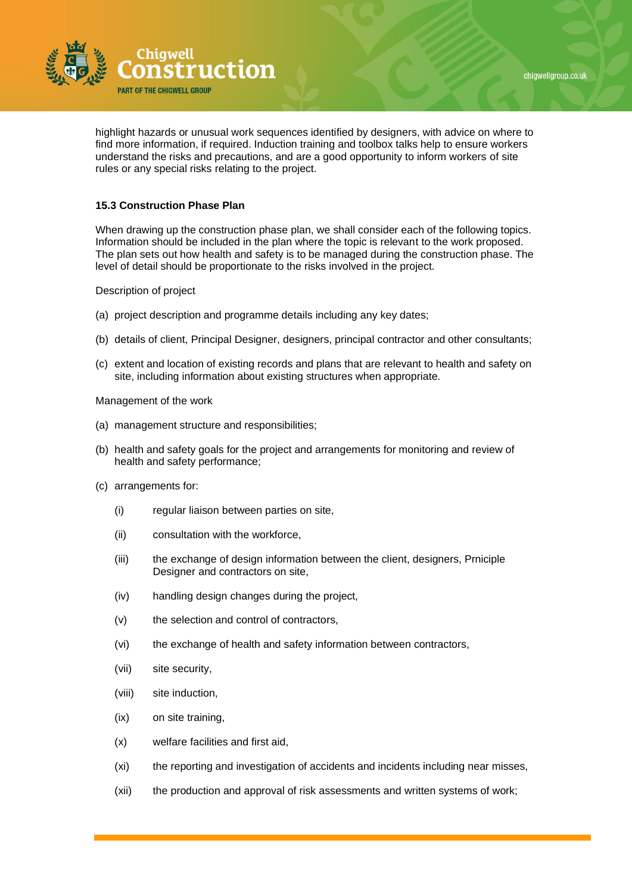



highlight hazards or unusual work sequences identified by designers, with advice on where to find more information, if required. Induction training and toolbox talks help to ensure workers understand the risks and precautions, and are a good opportunity to inform workers of site rules or any special risks relating to the project.

## **15.3 Construction Phase Plan**

When drawing up the construction phase plan, we shall consider each of the following topics. Information should be included in the plan where the topic is relevant to the work proposed. The plan sets out how health and safety is to be managed during the construction phase. The level of detail should be proportionate to the risks involved in the project.

Description of project

- (a) project description and programme details including any key dates;
- (b) details of client, Principal Designer, designers, principal contractor and other consultants;
- (c) extent and location of existing records and plans that are relevant to health and safety on site, including information about existing structures when appropriate.

Management of the work

- (a) management structure and responsibilities;
- (b) health and safety goals for the project and arrangements for monitoring and review of health and safety performance;
- (c) arrangements for:
	- (i) regular liaison between parties on site,
	- (ii) consultation with the workforce,
	- (iii) the exchange of design information between the client, designers, Prniciple Designer and contractors on site,
	- (iv) handling design changes during the project,
	- (v) the selection and control of contractors,
	- (vi) the exchange of health and safety information between contractors,
	- (vii) site security,
	- (viii) site induction,
	- (ix) on site training,
	- (x) welfare facilities and first aid,
	- (xi) the reporting and investigation of accidents and incidents including near misses,
	- (xii) the production and approval of risk assessments and written systems of work;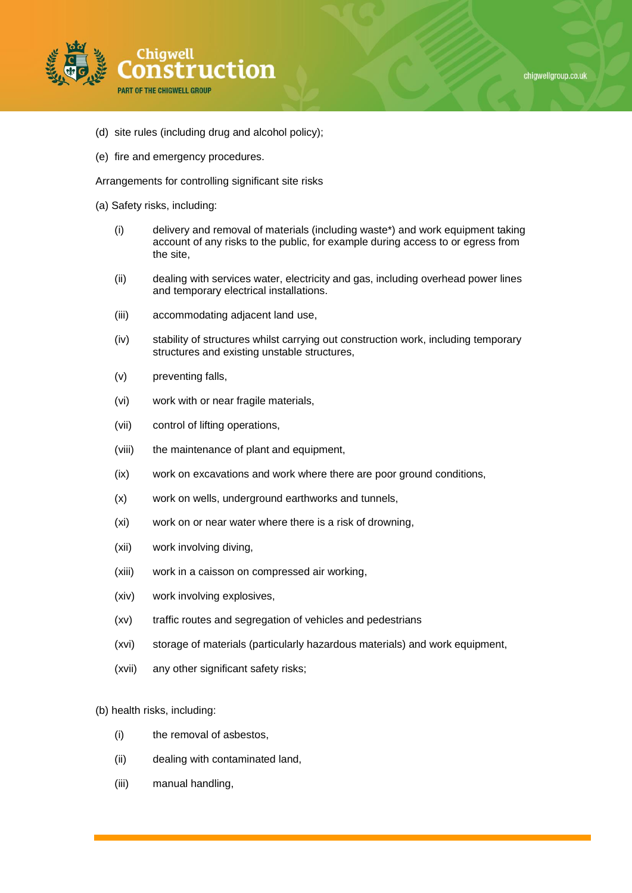

- (d) site rules (including drug and alcohol policy);
- (e) fire and emergency procedures.

Arrangements for controlling significant site risks

- (a) Safety risks, including:
	- (i) delivery and removal of materials (including waste\*) and work equipment taking account of any risks to the public, for example during access to or egress from the site,
	- (ii) dealing with services water, electricity and gas, including overhead power lines and temporary electrical installations.
	- (iii) accommodating adjacent land use,
	- (iv) stability of structures whilst carrying out construction work, including temporary structures and existing unstable structures,
	- (v) preventing falls,
	- (vi) work with or near fragile materials,
	- (vii) control of lifting operations,
	- (viii) the maintenance of plant and equipment,
	- (ix) work on excavations and work where there are poor ground conditions,
	- (x) work on wells, underground earthworks and tunnels,
	- (xi) work on or near water where there is a risk of drowning,
	- (xii) work involving diving,
	- (xiii) work in a caisson on compressed air working,
	- (xiv) work involving explosives,
	- (xv) traffic routes and segregation of vehicles and pedestrians
	- (xvi) storage of materials (particularly hazardous materials) and work equipment,
	- (xvii) any other significant safety risks;

(b) health risks, including:

- (i) the removal of asbestos,
- (ii) dealing with contaminated land,
- (iii) manual handling,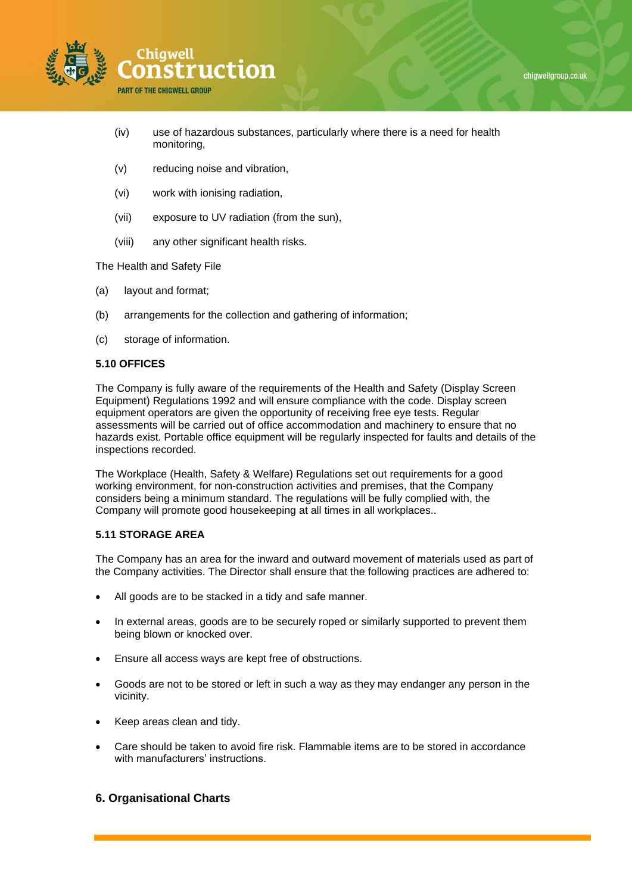



- (iv) use of hazardous substances, particularly where there is a need for health monitoring,
- (v) reducing noise and vibration,
- (vi) work with ionising radiation,
- (vii) exposure to UV radiation (from the sun),
- (viii) any other significant health risks.

The Health and Safety File

- (a) layout and format;
- (b) arrangements for the collection and gathering of information;
- (c) storage of information.

## **5.10 OFFICES**

The Company is fully aware of the requirements of the Health and Safety (Display Screen Equipment) Regulations 1992 and will ensure compliance with the code. Display screen equipment operators are given the opportunity of receiving free eye tests. Regular assessments will be carried out of office accommodation and machinery to ensure that no hazards exist. Portable office equipment will be regularly inspected for faults and details of the inspections recorded.

The Workplace (Health, Safety & Welfare) Regulations set out requirements for a good working environment, for non-construction activities and premises, that the Company considers being a minimum standard. The regulations will be fully complied with, the Company will promote good housekeeping at all times in all workplaces..

#### **5.11 STORAGE AREA**

The Company has an area for the inward and outward movement of materials used as part of the Company activities. The Director shall ensure that the following practices are adhered to:

- All goods are to be stacked in a tidy and safe manner.
- In external areas, goods are to be securely roped or similarly supported to prevent them being blown or knocked over.
- Ensure all access ways are kept free of obstructions.
- Goods are not to be stored or left in such a way as they may endanger any person in the vicinity.
- Keep areas clean and tidy.
- Care should be taken to avoid fire risk. Flammable items are to be stored in accordance with manufacturers' instructions.

## **6. Organisational Charts**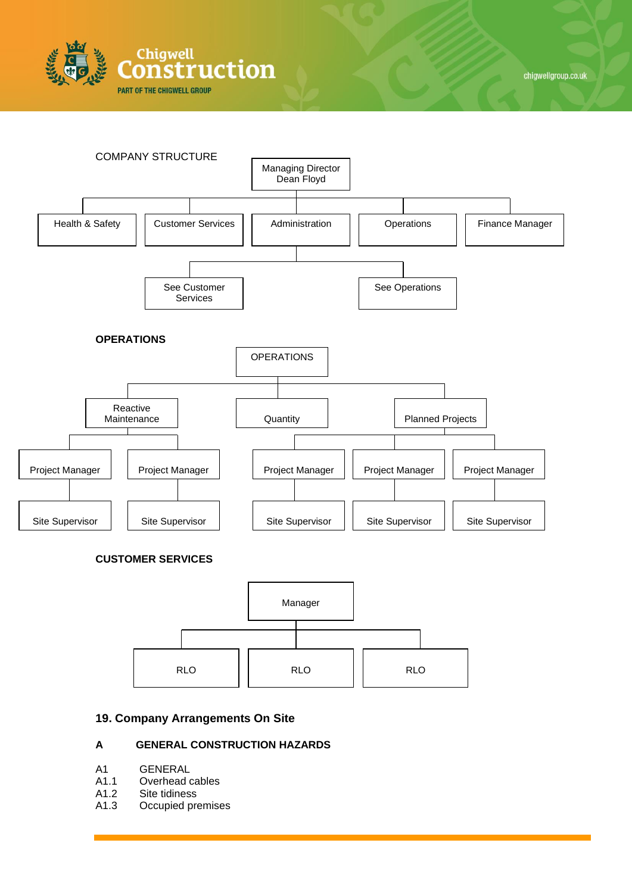





# **19. Company Arrangements On Site**

# **A GENERAL CONSTRUCTION HAZARDS**

- A1 GENERAL
- A1.1 Overhead cables
- A1.2 Site tidiness
- A1.3 Occupied premises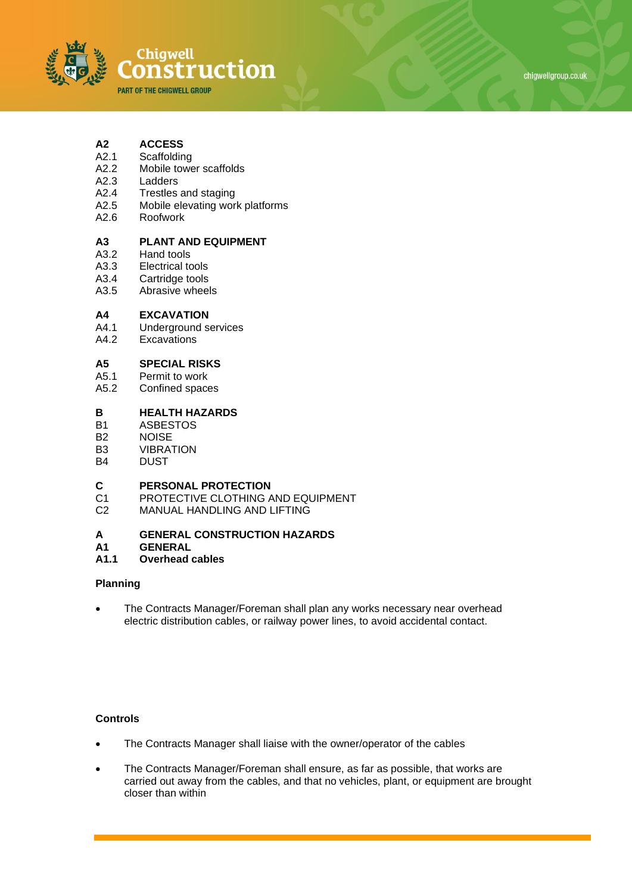

# **A2 ACCESS**

- A2.1 Scaffolding<br>A2.2 Mobile towe
- A2.2 Mobile tower scaffolds<br>A2.3 Ladders
- Ladders
- A2.4 Trestles and staging
- A2.5 Mobile elevating work platforms
- A2.6 Roofwork

# **A3 PLANT AND EQUIPMENT**

- Hand tools
- A3.3 Electrical tools<br>A3.4 Cartridge tools
- Cartridge tools
- A3.5 Abrasive wheels

#### **A4 EXCAVATION**

- A4.1 Underground services
- A4.2 Excavations

# **A5 SPECIAL RISKS**

- A5.1 Permit to work<br>A5.2 Confined space
- Confined spaces

## **B HEALTH HAZARDS**

- B1 ASBESTOS
- B2 NOISE
- B3 VIBRATION
- B4 DUST

# **C PERSONAL PROTECTION**<br>C1 **PROTECTIVE CLOTHING A**

- PROTECTIVE CLOTHING AND EQUIPMENT
- C2 MANUAL HANDLING AND LIFTING

#### **A GENERAL CONSTRUCTION HAZARDS**

**A1 GENERAL**

#### **A1.1 Overhead cables**

#### **Planning**

• The Contracts Manager/Foreman shall plan any works necessary near overhead electric distribution cables, or railway power lines, to avoid accidental contact.

- The Contracts Manager shall liaise with the owner/operator of the cables
- The Contracts Manager/Foreman shall ensure, as far as possible, that works are carried out away from the cables, and that no vehicles, plant, or equipment are brought closer than within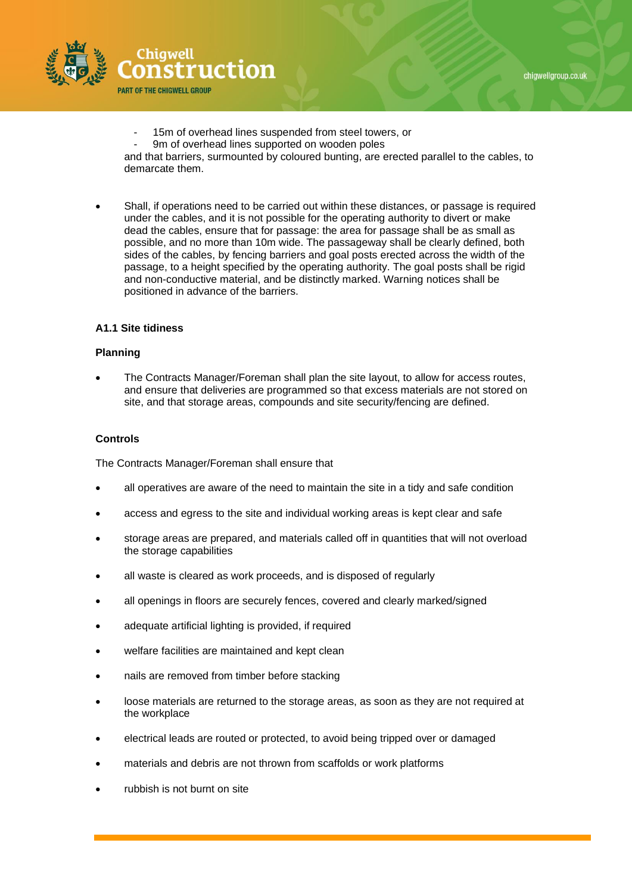



- 15m of overhead lines suspended from steel towers, or
- 9m of overhead lines supported on wooden poles

and that barriers, surmounted by coloured bunting, are erected parallel to the cables, to demarcate them.

• Shall, if operations need to be carried out within these distances, or passage is required under the cables, and it is not possible for the operating authority to divert or make dead the cables, ensure that for passage: the area for passage shall be as small as possible, and no more than 10m wide. The passageway shall be clearly defined, both sides of the cables, by fencing barriers and goal posts erected across the width of the passage, to a height specified by the operating authority. The goal posts shall be rigid and non-conductive material, and be distinctly marked. Warning notices shall be positioned in advance of the barriers.

## **A1.1 Site tidiness**

#### **Planning**

• The Contracts Manager/Foreman shall plan the site layout, to allow for access routes, and ensure that deliveries are programmed so that excess materials are not stored on site, and that storage areas, compounds and site security/fencing are defined.

## **Controls**

The Contracts Manager/Foreman shall ensure that

- all operatives are aware of the need to maintain the site in a tidy and safe condition
- access and egress to the site and individual working areas is kept clear and safe
- storage areas are prepared, and materials called off in quantities that will not overload the storage capabilities
- all waste is cleared as work proceeds, and is disposed of regularly
- all openings in floors are securely fences, covered and clearly marked/signed
- adequate artificial lighting is provided, if required
- welfare facilities are maintained and kept clean
- nails are removed from timber before stacking
- loose materials are returned to the storage areas, as soon as they are not required at the workplace
- electrical leads are routed or protected, to avoid being tripped over or damaged
- materials and debris are not thrown from scaffolds or work platforms
- rubbish is not burnt on site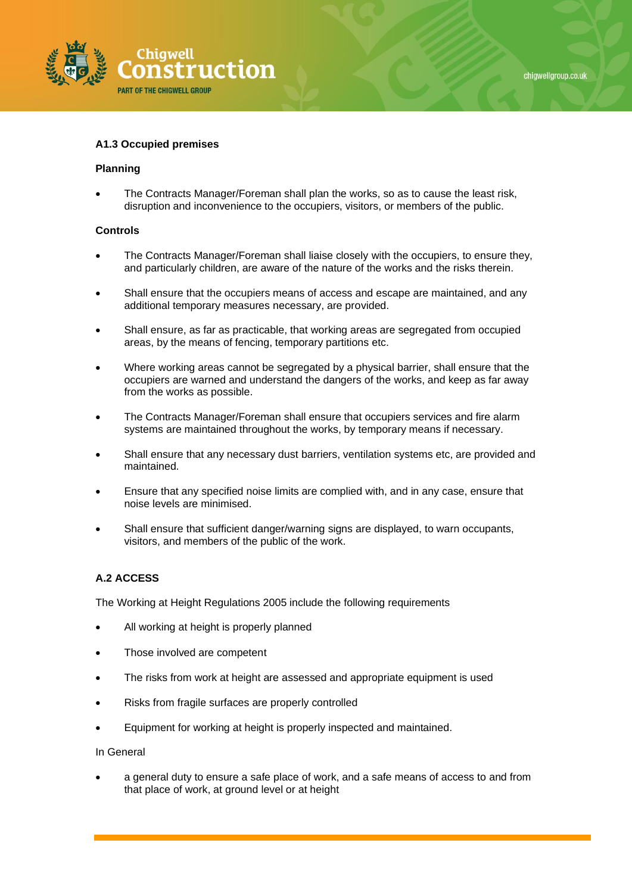

#### **A1.3 Occupied premises**

#### **Planning**

• The Contracts Manager/Foreman shall plan the works, so as to cause the least risk, disruption and inconvenience to the occupiers, visitors, or members of the public.

#### **Controls**

- The Contracts Manager/Foreman shall liaise closely with the occupiers, to ensure they, and particularly children, are aware of the nature of the works and the risks therein.
- Shall ensure that the occupiers means of access and escape are maintained, and any additional temporary measures necessary, are provided.
- Shall ensure, as far as practicable, that working areas are segregated from occupied areas, by the means of fencing, temporary partitions etc.
- Where working areas cannot be segregated by a physical barrier, shall ensure that the occupiers are warned and understand the dangers of the works, and keep as far away from the works as possible.
- The Contracts Manager/Foreman shall ensure that occupiers services and fire alarm systems are maintained throughout the works, by temporary means if necessary.
- Shall ensure that any necessary dust barriers, ventilation systems etc, are provided and maintained.
- Ensure that any specified noise limits are complied with, and in any case, ensure that noise levels are minimised.
- Shall ensure that sufficient danger/warning signs are displayed, to warn occupants, visitors, and members of the public of the work.

#### **A.2 ACCESS**

The Working at Height Regulations 2005 include the following requirements

- All working at height is properly planned
- Those involved are competent
- The risks from work at height are assessed and appropriate equipment is used
- Risks from fragile surfaces are properly controlled
- Equipment for working at height is properly inspected and maintained.

#### In General

• a general duty to ensure a safe place of work, and a safe means of access to and from that place of work, at ground level or at height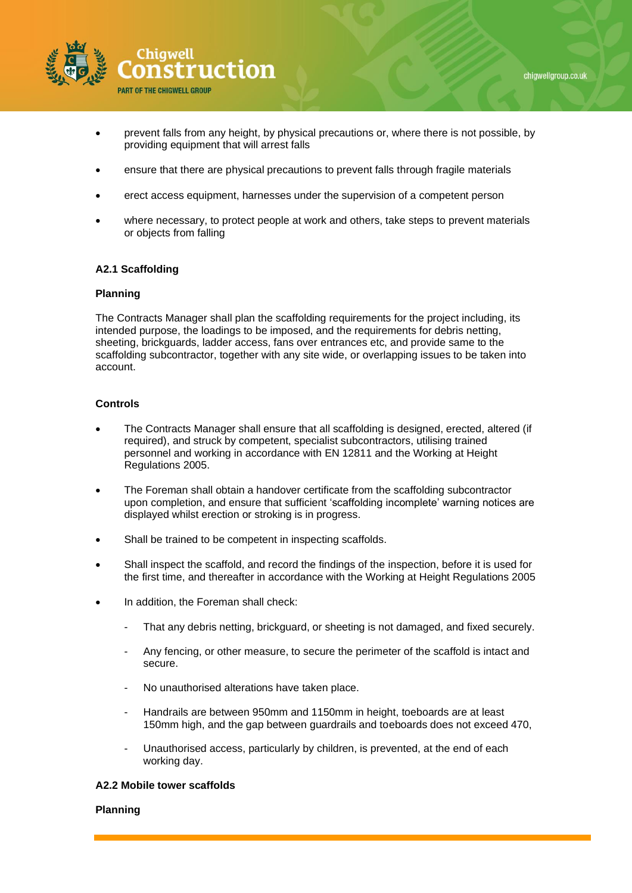

- prevent falls from any height, by physical precautions or, where there is not possible, by providing equipment that will arrest falls
- ensure that there are physical precautions to prevent falls through fragile materials
- erect access equipment, harnesses under the supervision of a competent person
- where necessary, to protect people at work and others, take steps to prevent materials or objects from falling

#### **A2.1 Scaffolding**

#### **Planning**

The Contracts Manager shall plan the scaffolding requirements for the project including, its intended purpose, the loadings to be imposed, and the requirements for debris netting, sheeting, brickguards, ladder access, fans over entrances etc, and provide same to the scaffolding subcontractor, together with any site wide, or overlapping issues to be taken into account.

#### **Controls**

- The Contracts Manager shall ensure that all scaffolding is designed, erected, altered (if required), and struck by competent, specialist subcontractors, utilising trained personnel and working in accordance with EN 12811 and the Working at Height Regulations 2005.
- The Foreman shall obtain a handover certificate from the scaffolding subcontractor upon completion, and ensure that sufficient 'scaffolding incomplete' warning notices are displayed whilst erection or stroking is in progress.
- Shall be trained to be competent in inspecting scaffolds.
- Shall inspect the scaffold, and record the findings of the inspection, before it is used for the first time, and thereafter in accordance with the Working at Height Regulations 2005
- In addition, the Foreman shall check:
	- That any debris netting, brickguard, or sheeting is not damaged, and fixed securely.
	- Any fencing, or other measure, to secure the perimeter of the scaffold is intact and secure.
	- No unauthorised alterations have taken place.
	- Handrails are between 950mm and 1150mm in height, toeboards are at least 150mm high, and the gap between guardrails and toeboards does not exceed 470,
	- Unauthorised access, particularly by children, is prevented, at the end of each working day.

## **A2.2 Mobile tower scaffolds**

#### **Planning**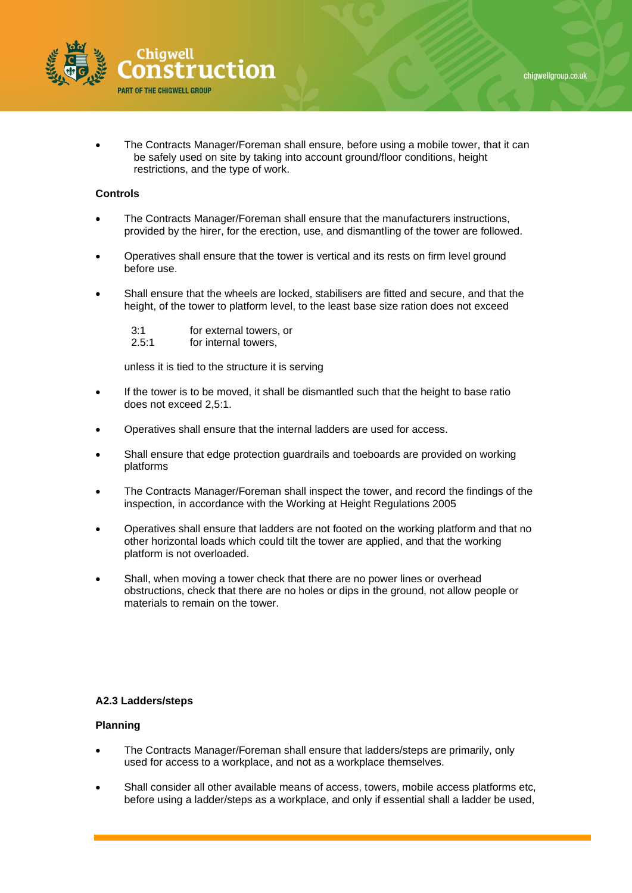

• The Contracts Manager/Foreman shall ensure, before using a mobile tower, that it can be safely used on site by taking into account ground/floor conditions, height restrictions, and the type of work.

## **Controls**

- The Contracts Manager/Foreman shall ensure that the manufacturers instructions, provided by the hirer, for the erection, use, and dismantling of the tower are followed.
- Operatives shall ensure that the tower is vertical and its rests on firm level ground before use.
- Shall ensure that the wheels are locked, stabilisers are fitted and secure, and that the height, of the tower to platform level, to the least base size ration does not exceed

| 3:1   | for external towers, or |
|-------|-------------------------|
| 2.5:1 | for internal towers,    |

unless it is tied to the structure it is serving

- If the tower is to be moved, it shall be dismantled such that the height to base ratio does not exceed 2,5:1.
- Operatives shall ensure that the internal ladders are used for access.
- Shall ensure that edge protection guardrails and toeboards are provided on working platforms
- The Contracts Manager/Foreman shall inspect the tower, and record the findings of the inspection, in accordance with the Working at Height Regulations 2005
- Operatives shall ensure that ladders are not footed on the working platform and that no other horizontal loads which could tilt the tower are applied, and that the working platform is not overloaded.
- Shall, when moving a tower check that there are no power lines or overhead obstructions, check that there are no holes or dips in the ground, not allow people or materials to remain on the tower.

## **A2.3 Ladders/steps**

#### **Planning**

- The Contracts Manager/Foreman shall ensure that ladders/steps are primarily, only used for access to a workplace, and not as a workplace themselves.
- Shall consider all other available means of access, towers, mobile access platforms etc, before using a ladder/steps as a workplace, and only if essential shall a ladder be used,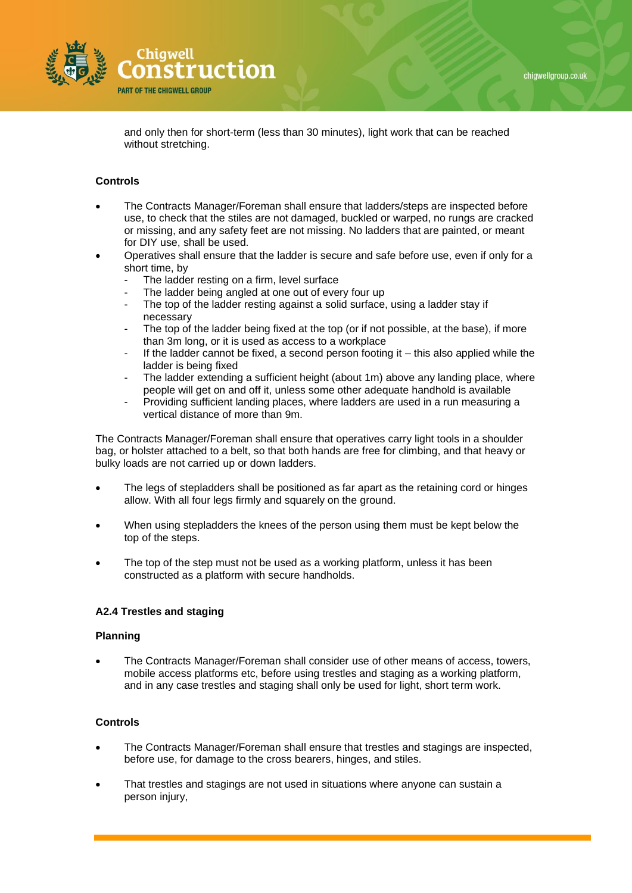

and only then for short-term (less than 30 minutes), light work that can be reached without stretching.

## **Controls**

- The Contracts Manager/Foreman shall ensure that ladders/steps are inspected before use, to check that the stiles are not damaged, buckled or warped, no rungs are cracked or missing, and any safety feet are not missing. No ladders that are painted, or meant for DIY use, shall be used.
- Operatives shall ensure that the ladder is secure and safe before use, even if only for a short time, by
	- The ladder resting on a firm, level surface
	- The ladder being angled at one out of every four up
	- The top of the ladder resting against a solid surface, using a ladder stay if necessary
	- The top of the ladder being fixed at the top (or if not possible, at the base), if more than 3m long, or it is used as access to a workplace
	- If the ladder cannot be fixed, a second person footing it  $-$  this also applied while the ladder is being fixed
	- The ladder extending a sufficient height (about 1m) above any landing place, where people will get on and off it, unless some other adequate handhold is available
	- Providing sufficient landing places, where ladders are used in a run measuring a vertical distance of more than 9m.

The Contracts Manager/Foreman shall ensure that operatives carry light tools in a shoulder bag, or holster attached to a belt, so that both hands are free for climbing, and that heavy or bulky loads are not carried up or down ladders.

- The legs of stepladders shall be positioned as far apart as the retaining cord or hinges allow. With all four legs firmly and squarely on the ground.
- When using stepladders the knees of the person using them must be kept below the top of the steps.
- The top of the step must not be used as a working platform, unless it has been constructed as a platform with secure handholds.

## **A2.4 Trestles and staging**

#### **Planning**

• The Contracts Manager/Foreman shall consider use of other means of access, towers, mobile access platforms etc, before using trestles and staging as a working platform, and in any case trestles and staging shall only be used for light, short term work.

- The Contracts Manager/Foreman shall ensure that trestles and stagings are inspected, before use, for damage to the cross bearers, hinges, and stiles.
- That trestles and stagings are not used in situations where anyone can sustain a person injury,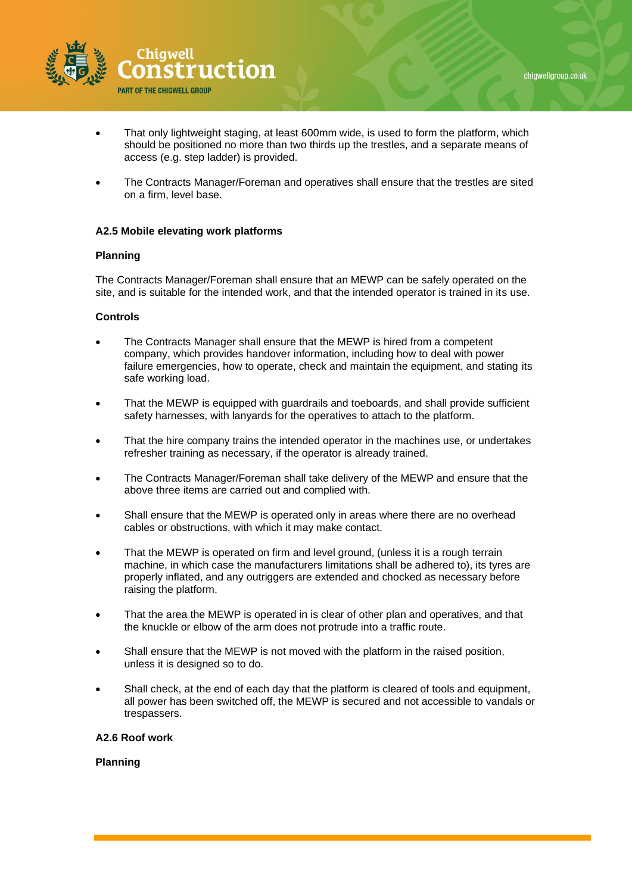

- That only lightweight staging, at least 600mm wide, is used to form the platform, which should be positioned no more than two thirds up the trestles, and a separate means of access (e.g. step ladder) is provided.
- The Contracts Manager/Foreman and operatives shall ensure that the trestles are sited on a firm, level base.

## **A2.5 Mobile elevating work platforms**

#### **Planning**

The Contracts Manager/Foreman shall ensure that an MEWP can be safely operated on the site, and is suitable for the intended work, and that the intended operator is trained in its use.

## **Controls**

- The Contracts Manager shall ensure that the MEWP is hired from a competent company, which provides handover information, including how to deal with power failure emergencies, how to operate, check and maintain the equipment, and stating its safe working load.
- That the MEWP is equipped with guardrails and toeboards, and shall provide sufficient safety harnesses, with lanyards for the operatives to attach to the platform.
- That the hire company trains the intended operator in the machines use, or undertakes refresher training as necessary, if the operator is already trained.
- The Contracts Manager/Foreman shall take delivery of the MEWP and ensure that the above three items are carried out and complied with.
- Shall ensure that the MEWP is operated only in areas where there are no overhead cables or obstructions, with which it may make contact.
- That the MEWP is operated on firm and level ground, (unless it is a rough terrain machine, in which case the manufacturers limitations shall be adhered to), its tyres are properly inflated, and any outriggers are extended and chocked as necessary before raising the platform.
- That the area the MEWP is operated in is clear of other plan and operatives, and that the knuckle or elbow of the arm does not protrude into a traffic route.
- Shall ensure that the MEWP is not moved with the platform in the raised position, unless it is designed so to do.
- Shall check, at the end of each day that the platform is cleared of tools and equipment, all power has been switched off, the MEWP is secured and not accessible to vandals or trespassers.

#### **A2.6 Roof work**

**Planning**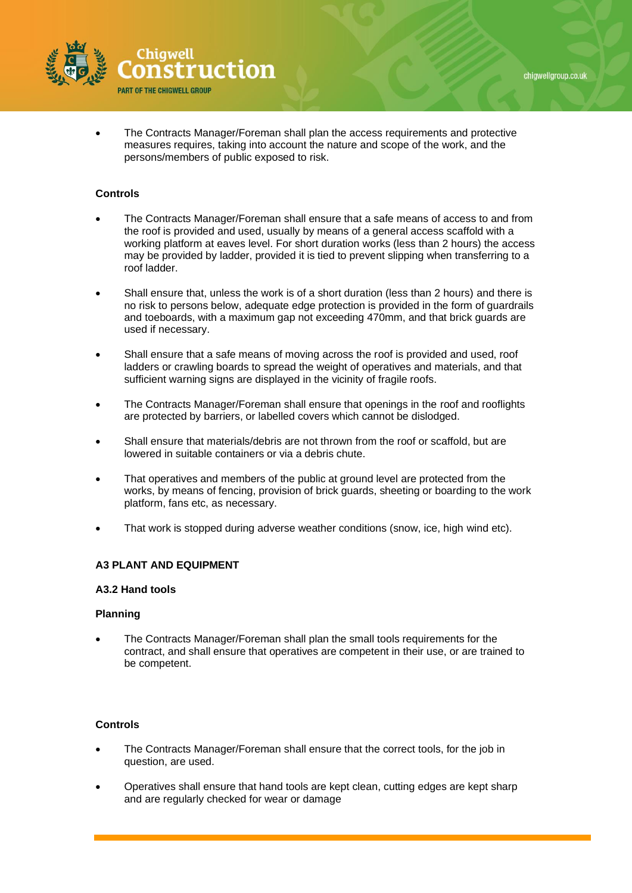



• The Contracts Manager/Foreman shall plan the access requirements and protective measures requires, taking into account the nature and scope of the work, and the persons/members of public exposed to risk.

## **Controls**

- The Contracts Manager/Foreman shall ensure that a safe means of access to and from the roof is provided and used, usually by means of a general access scaffold with a working platform at eaves level. For short duration works (less than 2 hours) the access may be provided by ladder, provided it is tied to prevent slipping when transferring to a roof ladder.
- Shall ensure that, unless the work is of a short duration (less than 2 hours) and there is no risk to persons below, adequate edge protection is provided in the form of guardrails and toeboards, with a maximum gap not exceeding 470mm, and that brick guards are used if necessary.
- Shall ensure that a safe means of moving across the roof is provided and used, roof ladders or crawling boards to spread the weight of operatives and materials, and that sufficient warning signs are displayed in the vicinity of fragile roofs.
- The Contracts Manager/Foreman shall ensure that openings in the roof and rooflights are protected by barriers, or labelled covers which cannot be dislodged.
- Shall ensure that materials/debris are not thrown from the roof or scaffold, but are lowered in suitable containers or via a debris chute.
- That operatives and members of the public at ground level are protected from the works, by means of fencing, provision of brick guards, sheeting or boarding to the work platform, fans etc, as necessary.
- That work is stopped during adverse weather conditions (snow, ice, high wind etc).

## **A3 PLANT AND EQUIPMENT**

## **A3.2 Hand tools**

## **Planning**

• The Contracts Manager/Foreman shall plan the small tools requirements for the contract, and shall ensure that operatives are competent in their use, or are trained to be competent.

- The Contracts Manager/Foreman shall ensure that the correct tools, for the job in question, are used.
- Operatives shall ensure that hand tools are kept clean, cutting edges are kept sharp and are regularly checked for wear or damage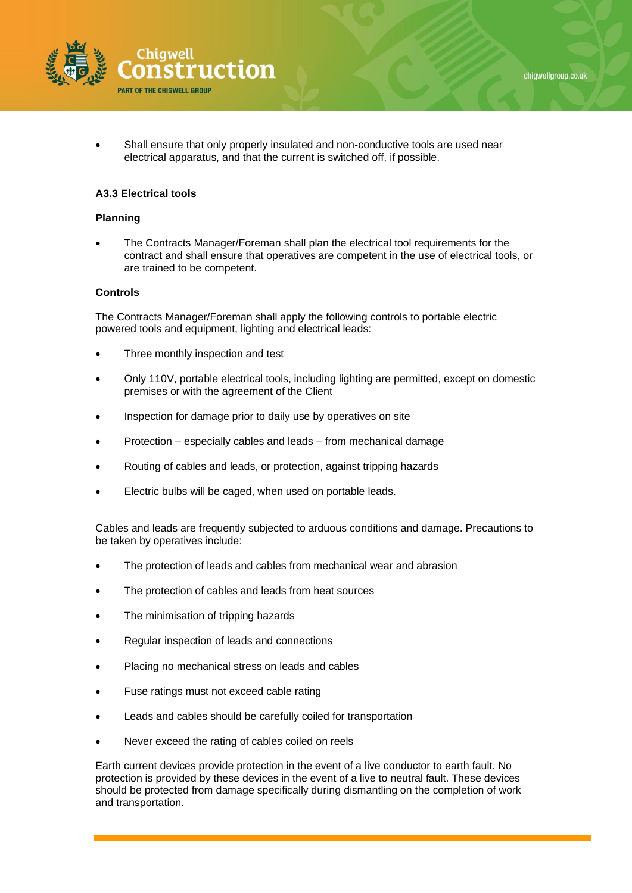

Shall ensure that only properly insulated and non-conductive tools are used near electrical apparatus, and that the current is switched off, if possible.

## **A3.3 Electrical tools**

#### **Planning**

• The Contracts Manager/Foreman shall plan the electrical tool requirements for the contract and shall ensure that operatives are competent in the use of electrical tools, or are trained to be competent.

#### **Controls**

The Contracts Manager/Foreman shall apply the following controls to portable electric powered tools and equipment, lighting and electrical leads:

- Three monthly inspection and test
- Only 110V, portable electrical tools, including lighting are permitted, except on domestic premises or with the agreement of the Client
- Inspection for damage prior to daily use by operatives on site
- Protection especially cables and leads from mechanical damage
- Routing of cables and leads, or protection, against tripping hazards
- Electric bulbs will be caged, when used on portable leads.

Cables and leads are frequently subjected to arduous conditions and damage. Precautions to be taken by operatives include:

- The protection of leads and cables from mechanical wear and abrasion
- The protection of cables and leads from heat sources
- The minimisation of tripping hazards
- Regular inspection of leads and connections
- Placing no mechanical stress on leads and cables
- Fuse ratings must not exceed cable rating
- Leads and cables should be carefully coiled for transportation
- Never exceed the rating of cables coiled on reels

Earth current devices provide protection in the event of a live conductor to earth fault. No protection is provided by these devices in the event of a live to neutral fault. These devices should be protected from damage specifically during dismantling on the completion of work and transportation.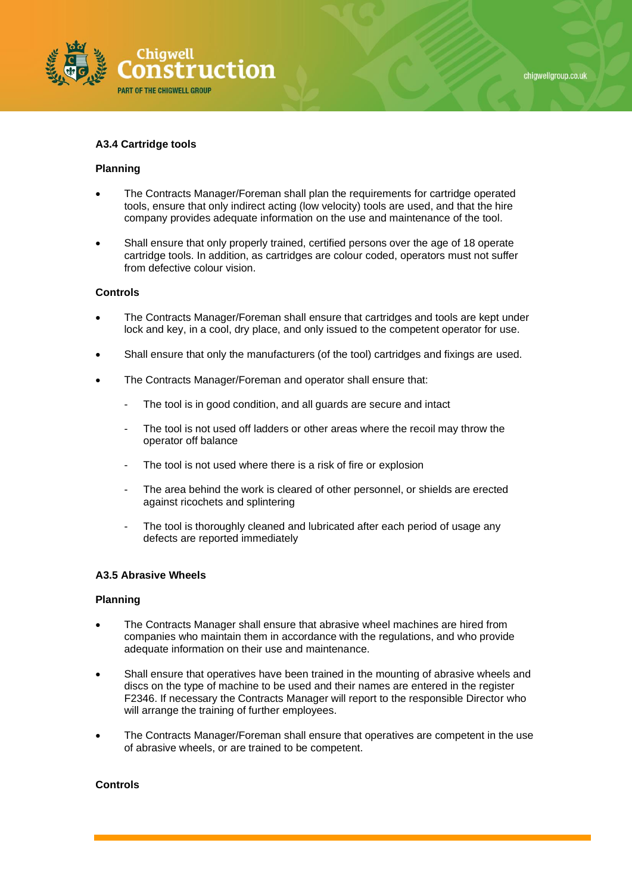

#### **A3.4 Cartridge tools**

#### **Planning**

- The Contracts Manager/Foreman shall plan the requirements for cartridge operated tools, ensure that only indirect acting (low velocity) tools are used, and that the hire company provides adequate information on the use and maintenance of the tool.
- Shall ensure that only properly trained, certified persons over the age of 18 operate cartridge tools. In addition, as cartridges are colour coded, operators must not suffer from defective colour vision.

#### **Controls**

- The Contracts Manager/Foreman shall ensure that cartridges and tools are kept under lock and key, in a cool, dry place, and only issued to the competent operator for use.
- Shall ensure that only the manufacturers (of the tool) cartridges and fixings are used.
- The Contracts Manager/Foreman and operator shall ensure that:
	- The tool is in good condition, and all guards are secure and intact
	- The tool is not used off ladders or other areas where the recoil may throw the operator off balance
	- The tool is not used where there is a risk of fire or explosion
	- The area behind the work is cleared of other personnel, or shields are erected against ricochets and splintering
	- The tool is thoroughly cleaned and lubricated after each period of usage any defects are reported immediately

## **A3.5 Abrasive Wheels**

#### **Planning**

- The Contracts Manager shall ensure that abrasive wheel machines are hired from companies who maintain them in accordance with the regulations, and who provide adequate information on their use and maintenance.
- Shall ensure that operatives have been trained in the mounting of abrasive wheels and discs on the type of machine to be used and their names are entered in the register F2346. If necessary the Contracts Manager will report to the responsible Director who will arrange the training of further employees.
- The Contracts Manager/Foreman shall ensure that operatives are competent in the use of abrasive wheels, or are trained to be competent.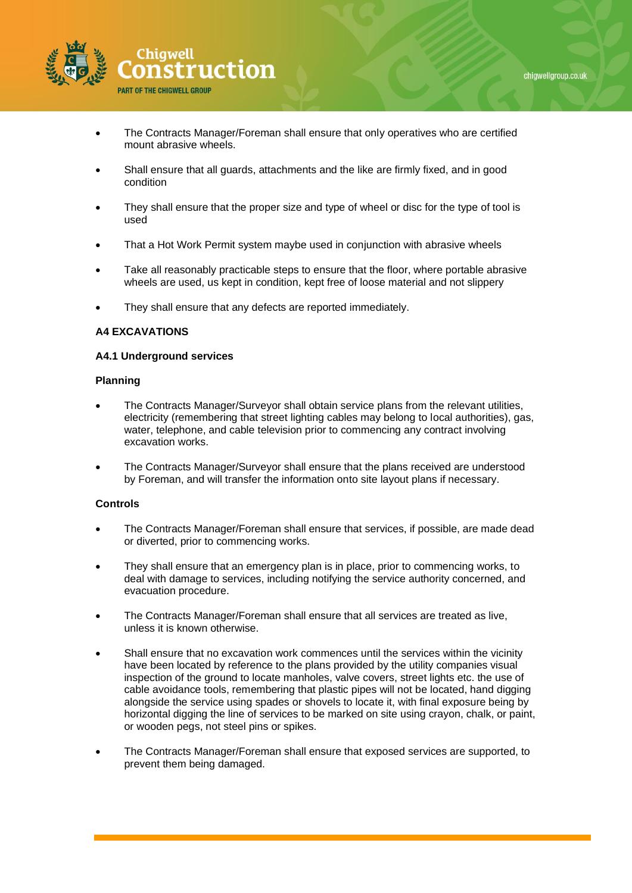



- The Contracts Manager/Foreman shall ensure that only operatives who are certified mount abrasive wheels.
- Shall ensure that all guards, attachments and the like are firmly fixed, and in good condition
- They shall ensure that the proper size and type of wheel or disc for the type of tool is used
- That a Hot Work Permit system maybe used in conjunction with abrasive wheels
- Take all reasonably practicable steps to ensure that the floor, where portable abrasive wheels are used, us kept in condition, kept free of loose material and not slippery
- They shall ensure that any defects are reported immediately.

## **A4 EXCAVATIONS**

#### **A4.1 Underground services**

#### **Planning**

- The Contracts Manager/Surveyor shall obtain service plans from the relevant utilities, electricity (remembering that street lighting cables may belong to local authorities), gas, water, telephone, and cable television prior to commencing any contract involving excavation works.
- The Contracts Manager/Surveyor shall ensure that the plans received are understood by Foreman, and will transfer the information onto site layout plans if necessary.

- The Contracts Manager/Foreman shall ensure that services, if possible, are made dead or diverted, prior to commencing works.
- They shall ensure that an emergency plan is in place, prior to commencing works, to deal with damage to services, including notifying the service authority concerned, and evacuation procedure.
- The Contracts Manager/Foreman shall ensure that all services are treated as live, unless it is known otherwise.
- Shall ensure that no excavation work commences until the services within the vicinity have been located by reference to the plans provided by the utility companies visual inspection of the ground to locate manholes, valve covers, street lights etc. the use of cable avoidance tools, remembering that plastic pipes will not be located, hand digging alongside the service using spades or shovels to locate it, with final exposure being by horizontal digging the line of services to be marked on site using crayon, chalk, or paint, or wooden pegs, not steel pins or spikes.
- The Contracts Manager/Foreman shall ensure that exposed services are supported, to prevent them being damaged.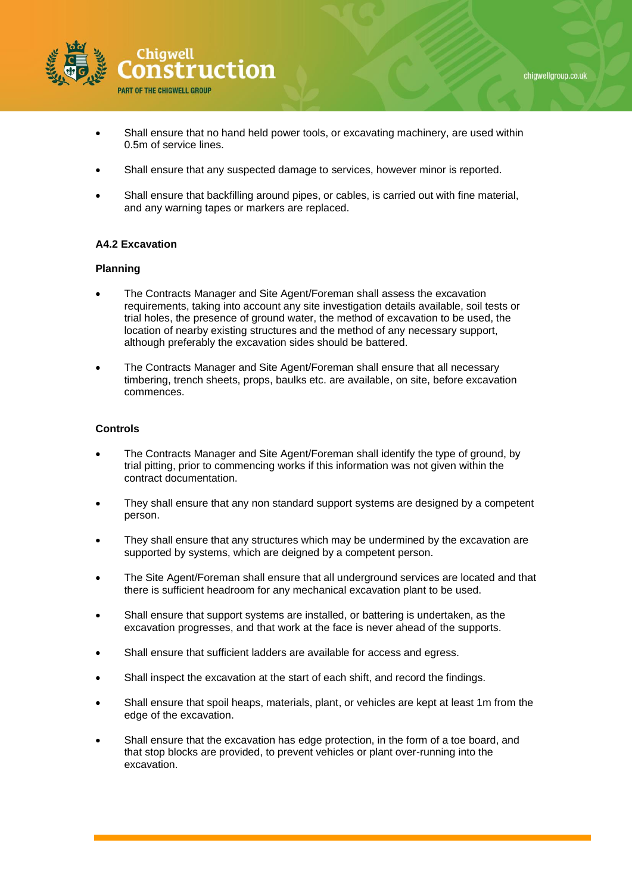



- Shall ensure that no hand held power tools, or excavating machinery, are used within 0.5m of service lines.
- Shall ensure that any suspected damage to services, however minor is reported.
- Shall ensure that backfilling around pipes, or cables, is carried out with fine material, and any warning tapes or markers are replaced.

## **A4.2 Excavation**

## **Planning**

- The Contracts Manager and Site Agent/Foreman shall assess the excavation requirements, taking into account any site investigation details available, soil tests or trial holes, the presence of ground water, the method of excavation to be used, the location of nearby existing structures and the method of any necessary support, although preferably the excavation sides should be battered.
- The Contracts Manager and Site Agent/Foreman shall ensure that all necessary timbering, trench sheets, props, baulks etc. are available, on site, before excavation commences.

- The Contracts Manager and Site Agent/Foreman shall identify the type of ground, by trial pitting, prior to commencing works if this information was not given within the contract documentation.
- They shall ensure that any non standard support systems are designed by a competent person.
- They shall ensure that any structures which may be undermined by the excavation are supported by systems, which are deigned by a competent person.
- The Site Agent/Foreman shall ensure that all underground services are located and that there is sufficient headroom for any mechanical excavation plant to be used.
- Shall ensure that support systems are installed, or battering is undertaken, as the excavation progresses, and that work at the face is never ahead of the supports.
- Shall ensure that sufficient ladders are available for access and egress.
- Shall inspect the excavation at the start of each shift, and record the findings.
- Shall ensure that spoil heaps, materials, plant, or vehicles are kept at least 1m from the edge of the excavation.
- Shall ensure that the excavation has edge protection, in the form of a toe board, and that stop blocks are provided, to prevent vehicles or plant over-running into the excavation.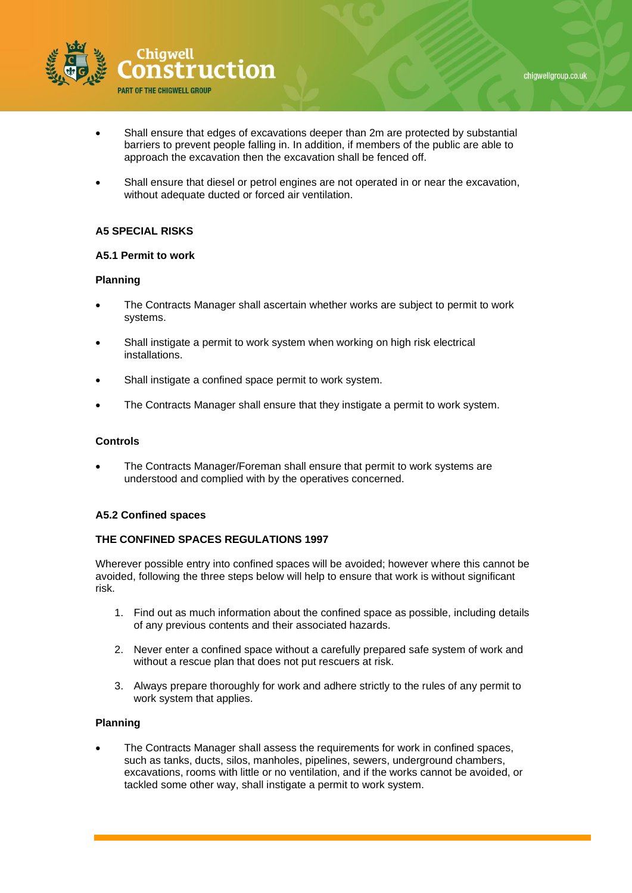



- Shall ensure that edges of excavations deeper than 2m are protected by substantial barriers to prevent people falling in. In addition, if members of the public are able to approach the excavation then the excavation shall be fenced off.
- Shall ensure that diesel or petrol engines are not operated in or near the excavation, without adequate ducted or forced air ventilation.

# **A5 SPECIAL RISKS**

## **A5.1 Permit to work**

## **Planning**

- The Contracts Manager shall ascertain whether works are subject to permit to work systems.
- Shall instigate a permit to work system when working on high risk electrical installations.
- Shall instigate a confined space permit to work system.
- The Contracts Manager shall ensure that they instigate a permit to work system.

## **Controls**

• The Contracts Manager/Foreman shall ensure that permit to work systems are understood and complied with by the operatives concerned.

## **A5.2 Confined spaces**

#### **THE CONFINED SPACES REGULATIONS 1997**

Wherever possible entry into confined spaces will be avoided; however where this cannot be avoided, following the three steps below will help to ensure that work is without significant risk.

- 1. Find out as much information about the confined space as possible, including details of any previous contents and their associated hazards.
- 2. Never enter a confined space without a carefully prepared safe system of work and without a rescue plan that does not put rescuers at risk.
- 3. Always prepare thoroughly for work and adhere strictly to the rules of any permit to work system that applies.

#### **Planning**

• The Contracts Manager shall assess the requirements for work in confined spaces, such as tanks, ducts, silos, manholes, pipelines, sewers, underground chambers, excavations, rooms with little or no ventilation, and if the works cannot be avoided, or tackled some other way, shall instigate a permit to work system.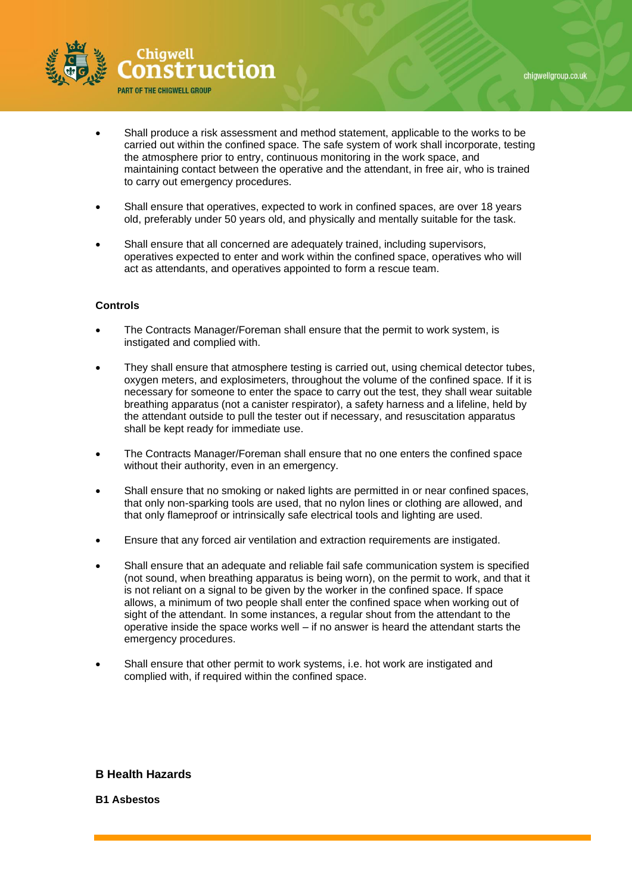

- Shall produce a risk assessment and method statement, applicable to the works to be carried out within the confined space. The safe system of work shall incorporate, testing the atmosphere prior to entry, continuous monitoring in the work space, and maintaining contact between the operative and the attendant, in free air, who is trained to carry out emergency procedures.
- Shall ensure that operatives, expected to work in confined spaces, are over 18 years old, preferably under 50 years old, and physically and mentally suitable for the task.
- Shall ensure that all concerned are adequately trained, including supervisors, operatives expected to enter and work within the confined space, operatives who will act as attendants, and operatives appointed to form a rescue team.

#### **Controls**

- The Contracts Manager/Foreman shall ensure that the permit to work system, is instigated and complied with.
- They shall ensure that atmosphere testing is carried out, using chemical detector tubes, oxygen meters, and explosimeters, throughout the volume of the confined space. If it is necessary for someone to enter the space to carry out the test, they shall wear suitable breathing apparatus (not a canister respirator), a safety harness and a lifeline, held by the attendant outside to pull the tester out if necessary, and resuscitation apparatus shall be kept ready for immediate use.
- The Contracts Manager/Foreman shall ensure that no one enters the confined space without their authority, even in an emergency.
- Shall ensure that no smoking or naked lights are permitted in or near confined spaces, that only non-sparking tools are used, that no nylon lines or clothing are allowed, and that only flameproof or intrinsically safe electrical tools and lighting are used.
- Ensure that any forced air ventilation and extraction requirements are instigated.
- Shall ensure that an adequate and reliable fail safe communication system is specified (not sound, when breathing apparatus is being worn), on the permit to work, and that it is not reliant on a signal to be given by the worker in the confined space. If space allows, a minimum of two people shall enter the confined space when working out of sight of the attendant. In some instances, a regular shout from the attendant to the operative inside the space works well – if no answer is heard the attendant starts the emergency procedures.
- Shall ensure that other permit to work systems, i.e. hot work are instigated and complied with, if required within the confined space.

## **B Health Hazards**

**B1 Asbestos**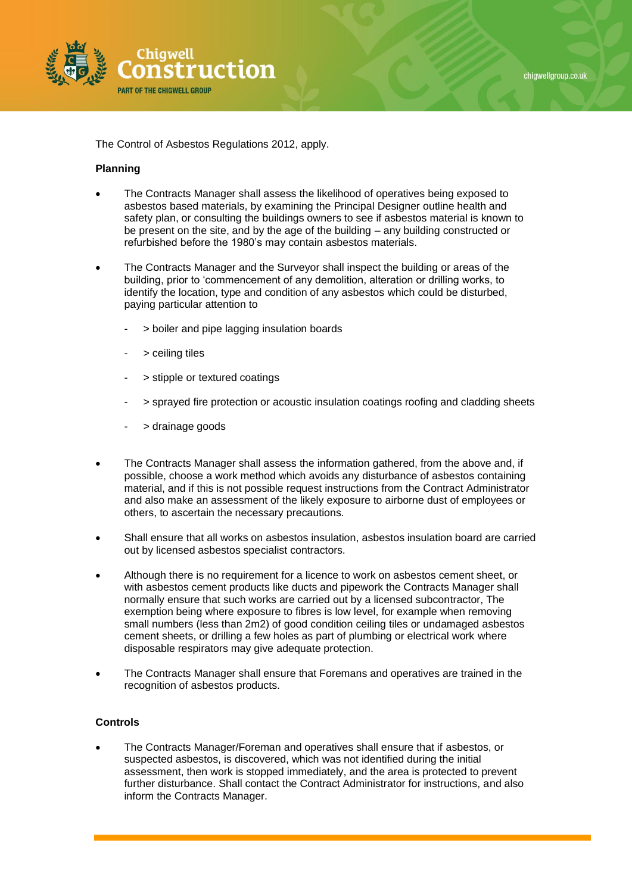

The Control of Asbestos Regulations 2012, apply.

#### **Planning**

- The Contracts Manager shall assess the likelihood of operatives being exposed to asbestos based materials, by examining the Principal Designer outline health and safety plan, or consulting the buildings owners to see if asbestos material is known to be present on the site, and by the age of the building – any building constructed or refurbished before the 1980's may contain asbestos materials.
- The Contracts Manager and the Surveyor shall inspect the building or areas of the building, prior to 'commencement of any demolition, alteration or drilling works, to identify the location, type and condition of any asbestos which could be disturbed, paying particular attention to
	- > boiler and pipe lagging insulation boards
	- > ceiling tiles
	- > stipple or textured coatings
	- > sprayed fire protection or acoustic insulation coatings roofing and cladding sheets
	- > drainage goods
- The Contracts Manager shall assess the information gathered, from the above and, if possible, choose a work method which avoids any disturbance of asbestos containing material, and if this is not possible request instructions from the Contract Administrator and also make an assessment of the likely exposure to airborne dust of employees or others, to ascertain the necessary precautions.
- Shall ensure that all works on asbestos insulation, asbestos insulation board are carried out by licensed asbestos specialist contractors.
- Although there is no requirement for a licence to work on asbestos cement sheet, or with asbestos cement products like ducts and pipework the Contracts Manager shall normally ensure that such works are carried out by a licensed subcontractor, The exemption being where exposure to fibres is low level, for example when removing small numbers (less than 2m2) of good condition ceiling tiles or undamaged asbestos cement sheets, or drilling a few holes as part of plumbing or electrical work where disposable respirators may give adequate protection.
- The Contracts Manager shall ensure that Foremans and operatives are trained in the recognition of asbestos products.

## **Controls**

• The Contracts Manager/Foreman and operatives shall ensure that if asbestos, or suspected asbestos, is discovered, which was not identified during the initial assessment, then work is stopped immediately, and the area is protected to prevent further disturbance. Shall contact the Contract Administrator for instructions, and also inform the Contracts Manager.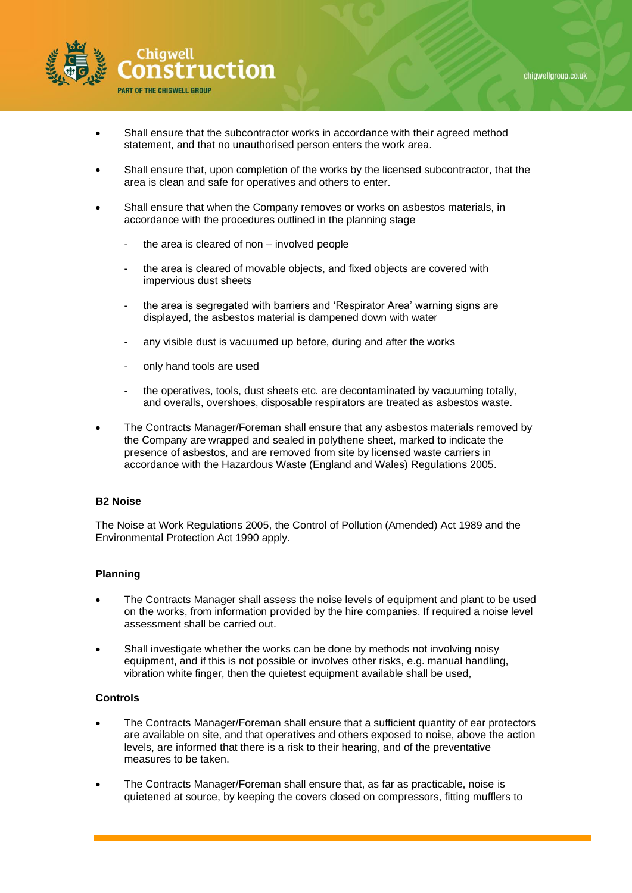

- Shall ensure that the subcontractor works in accordance with their agreed method statement, and that no unauthorised person enters the work area.
- Shall ensure that, upon completion of the works by the licensed subcontractor, that the area is clean and safe for operatives and others to enter.
- Shall ensure that when the Company removes or works on asbestos materials, in accordance with the procedures outlined in the planning stage
	- the area is cleared of non  $-$  involved people
	- the area is cleared of movable objects, and fixed objects are covered with impervious dust sheets
	- the area is segregated with barriers and 'Respirator Area' warning signs are displayed, the asbestos material is dampened down with water
	- any visible dust is vacuumed up before, during and after the works
	- only hand tools are used
	- the operatives, tools, dust sheets etc. are decontaminated by vacuuming totally, and overalls, overshoes, disposable respirators are treated as asbestos waste.
- The Contracts Manager/Foreman shall ensure that any asbestos materials removed by the Company are wrapped and sealed in polythene sheet, marked to indicate the presence of asbestos, and are removed from site by licensed waste carriers in accordance with the Hazardous Waste (England and Wales) Regulations 2005.

#### **B2 Noise**

The Noise at Work Regulations 2005, the Control of Pollution (Amended) Act 1989 and the Environmental Protection Act 1990 apply.

#### **Planning**

- The Contracts Manager shall assess the noise levels of equipment and plant to be used on the works, from information provided by the hire companies. If required a noise level assessment shall be carried out.
- Shall investigate whether the works can be done by methods not involving noisy equipment, and if this is not possible or involves other risks, e.g. manual handling, vibration white finger, then the quietest equipment available shall be used,

- The Contracts Manager/Foreman shall ensure that a sufficient quantity of ear protectors are available on site, and that operatives and others exposed to noise, above the action levels, are informed that there is a risk to their hearing, and of the preventative measures to be taken.
- The Contracts Manager/Foreman shall ensure that, as far as practicable, noise is quietened at source, by keeping the covers closed on compressors, fitting mufflers to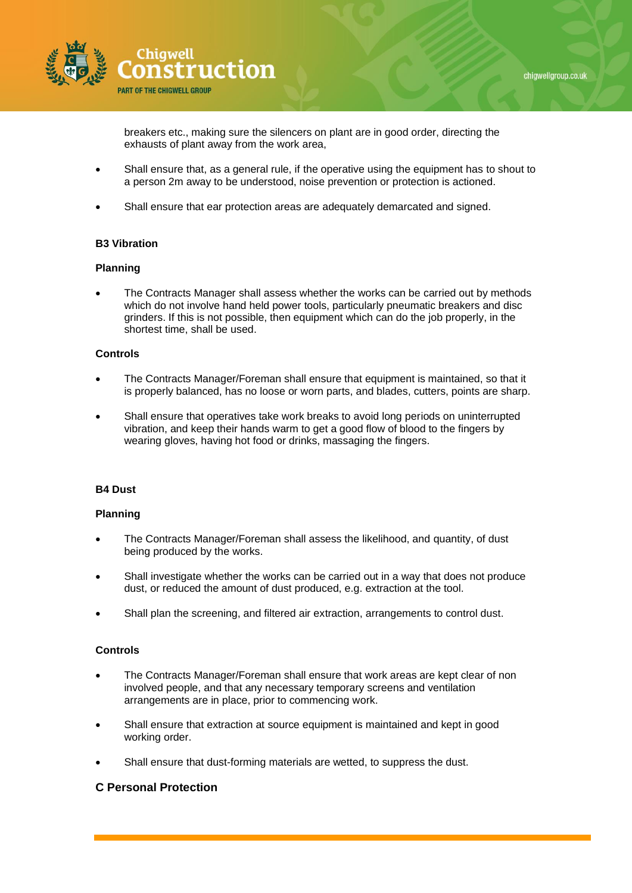



breakers etc., making sure the silencers on plant are in good order, directing the exhausts of plant away from the work area,

- Shall ensure that, as a general rule, if the operative using the equipment has to shout to a person 2m away to be understood, noise prevention or protection is actioned.
- Shall ensure that ear protection areas are adequately demarcated and signed.

## **B3 Vibration**

#### **Planning**

• The Contracts Manager shall assess whether the works can be carried out by methods which do not involve hand held power tools, particularly pneumatic breakers and disc grinders. If this is not possible, then equipment which can do the job properly, in the shortest time, shall be used.

## **Controls**

- The Contracts Manager/Foreman shall ensure that equipment is maintained, so that it is properly balanced, has no loose or worn parts, and blades, cutters, points are sharp.
- Shall ensure that operatives take work breaks to avoid long periods on uninterrupted vibration, and keep their hands warm to get a good flow of blood to the fingers by wearing gloves, having hot food or drinks, massaging the fingers.

#### **B4 Dust**

#### **Planning**

- The Contracts Manager/Foreman shall assess the likelihood, and quantity, of dust being produced by the works.
- Shall investigate whether the works can be carried out in a way that does not produce dust, or reduced the amount of dust produced, e.g. extraction at the tool.
- Shall plan the screening, and filtered air extraction, arrangements to control dust.

#### **Controls**

- The Contracts Manager/Foreman shall ensure that work areas are kept clear of non involved people, and that any necessary temporary screens and ventilation arrangements are in place, prior to commencing work.
- Shall ensure that extraction at source equipment is maintained and kept in good working order.
- Shall ensure that dust-forming materials are wetted, to suppress the dust.

# **C Personal Protection**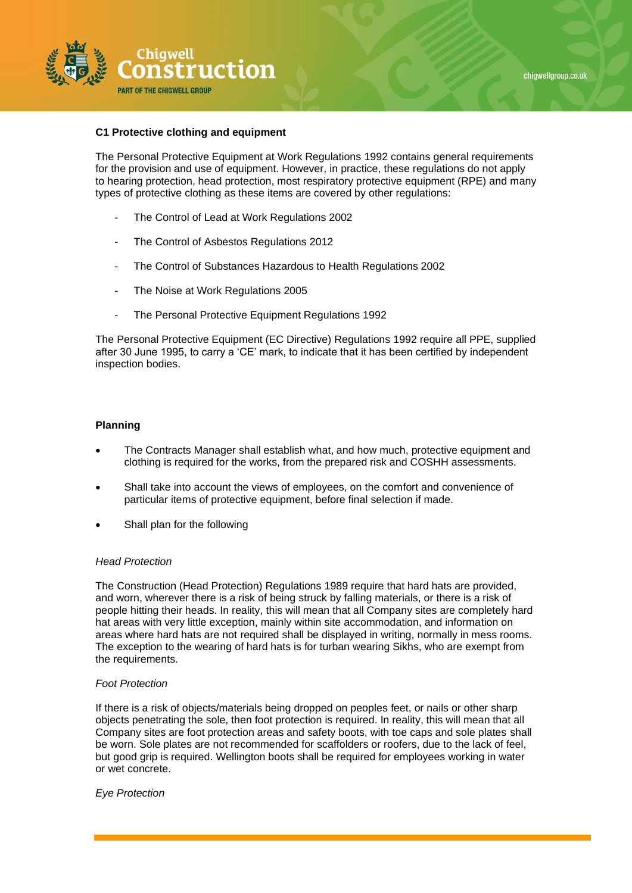

#### **C1 Protective clothing and equipment**

The Personal Protective Equipment at Work Regulations 1992 contains general requirements for the provision and use of equipment. However, in practice, these regulations do not apply to hearing protection, head protection, most respiratory protective equipment (RPE) and many types of protective clothing as these items are covered by other regulations:

- The Control of Lead at Work Regulations 2002
- The Control of Asbestos Regulations 2012
- The Control of Substances Hazardous to Health Regulations 2002
- The Noise at Work Regulations 2005
- The Personal Protective Equipment Regulations 1992

The Personal Protective Equipment (EC Directive) Regulations 1992 require all PPE, supplied after 30 June 1995, to carry a 'CE' mark, to indicate that it has been certified by independent inspection bodies.

#### **Planning**

- The Contracts Manager shall establish what, and how much, protective equipment and clothing is required for the works, from the prepared risk and COSHH assessments.
- Shall take into account the views of employees, on the comfort and convenience of particular items of protective equipment, before final selection if made.
- Shall plan for the following

#### *Head Protection*

The Construction (Head Protection) Regulations 1989 require that hard hats are provided, and worn, wherever there is a risk of being struck by falling materials, or there is a risk of people hitting their heads. In reality, this will mean that all Company sites are completely hard hat areas with very little exception, mainly within site accommodation, and information on areas where hard hats are not required shall be displayed in writing, normally in mess rooms. The exception to the wearing of hard hats is for turban wearing Sikhs, who are exempt from the requirements.

#### *Foot Protection*

If there is a risk of objects/materials being dropped on peoples feet, or nails or other sharp objects penetrating the sole, then foot protection is required. In reality, this will mean that all Company sites are foot protection areas and safety boots, with toe caps and sole plates shall be worn. Sole plates are not recommended for scaffolders or roofers, due to the lack of feel, but good grip is required. Wellington boots shall be required for employees working in water or wet concrete.

*Eye Protection*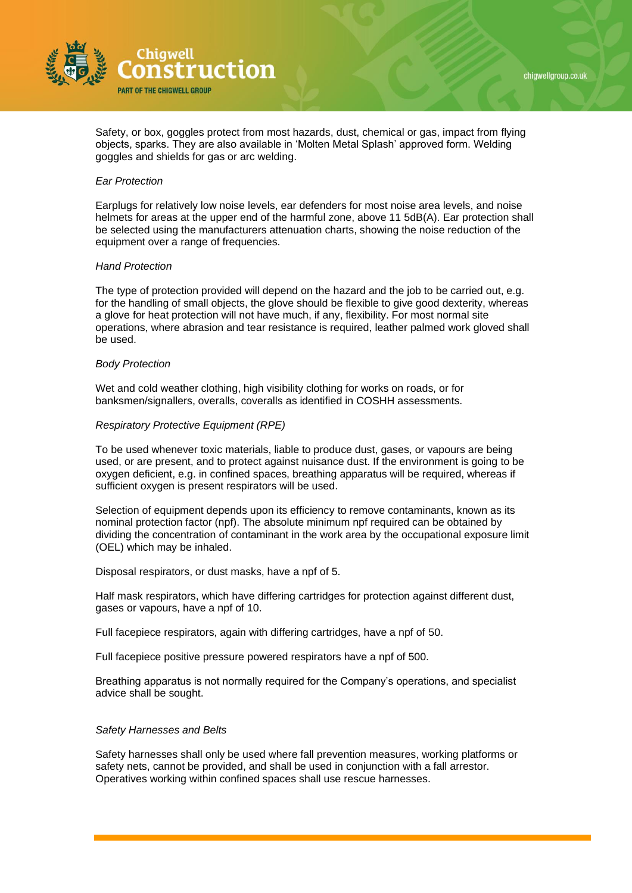

Safety, or box, goggles protect from most hazards, dust, chemical or gas, impact from flying objects, sparks. They are also available in 'Molten Metal Splash' approved form. Welding goggles and shields for gas or arc welding.

#### *Ear Protection*

Earplugs for relatively low noise levels, ear defenders for most noise area levels, and noise helmets for areas at the upper end of the harmful zone, above 11 5dB(A). Ear protection shall be selected using the manufacturers attenuation charts, showing the noise reduction of the equipment over a range of frequencies.

#### *Hand Protection*

The type of protection provided will depend on the hazard and the job to be carried out, e.g. for the handling of small objects, the glove should be flexible to give good dexterity, whereas a glove for heat protection will not have much, if any, flexibility. For most normal site operations, where abrasion and tear resistance is required, leather palmed work gloved shall be used.

#### *Body Protection*

Wet and cold weather clothing, high visibility clothing for works on roads, or for banksmen/signallers, overalls, coveralls as identified in COSHH assessments.

#### *Respiratory Protective Equipment (RPE)*

To be used whenever toxic materials, liable to produce dust, gases, or vapours are being used, or are present, and to protect against nuisance dust. If the environment is going to be oxygen deficient, e.g. in confined spaces, breathing apparatus will be required, whereas if sufficient oxygen is present respirators will be used.

Selection of equipment depends upon its efficiency to remove contaminants, known as its nominal protection factor (npf). The absolute minimum npf required can be obtained by dividing the concentration of contaminant in the work area by the occupational exposure limit (OEL) which may be inhaled.

Disposal respirators, or dust masks, have a npf of 5.

Half mask respirators, which have differing cartridges for protection against different dust, gases or vapours, have a npf of 10.

Full facepiece respirators, again with differing cartridges, have a npf of 50.

Full facepiece positive pressure powered respirators have a npf of 500.

Breathing apparatus is not normally required for the Company's operations, and specialist advice shall be sought.

#### *Safety Harnesses and Belts*

Safety harnesses shall only be used where fall prevention measures, working platforms or safety nets, cannot be provided, and shall be used in conjunction with a fall arrestor. Operatives working within confined spaces shall use rescue harnesses.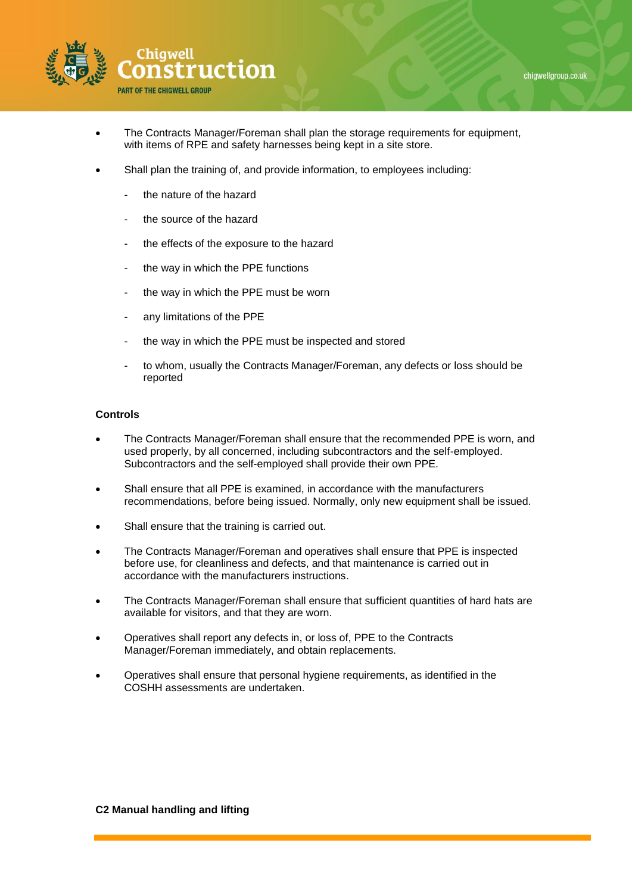

- The Contracts Manager/Foreman shall plan the storage requirements for equipment, with items of RPE and safety harnesses being kept in a site store.
- Shall plan the training of, and provide information, to employees including:
	- the nature of the hazard
	- the source of the hazard
	- the effects of the exposure to the hazard
	- the way in which the PPE functions
	- the way in which the PPE must be worn
	- any limitations of the PPE
	- the way in which the PPE must be inspected and stored
	- to whom, usually the Contracts Manager/Foreman, any defects or loss should be reported

- The Contracts Manager/Foreman shall ensure that the recommended PPE is worn, and used properly, by all concerned, including subcontractors and the self-employed. Subcontractors and the self-employed shall provide their own PPE.
- Shall ensure that all PPE is examined, in accordance with the manufacturers recommendations, before being issued. Normally, only new equipment shall be issued.
- Shall ensure that the training is carried out.
- The Contracts Manager/Foreman and operatives shall ensure that PPE is inspected before use, for cleanliness and defects, and that maintenance is carried out in accordance with the manufacturers instructions.
- The Contracts Manager/Foreman shall ensure that sufficient quantities of hard hats are available for visitors, and that they are worn.
- Operatives shall report any defects in, or loss of, PPE to the Contracts Manager/Foreman immediately, and obtain replacements.
- Operatives shall ensure that personal hygiene requirements, as identified in the COSHH assessments are undertaken.